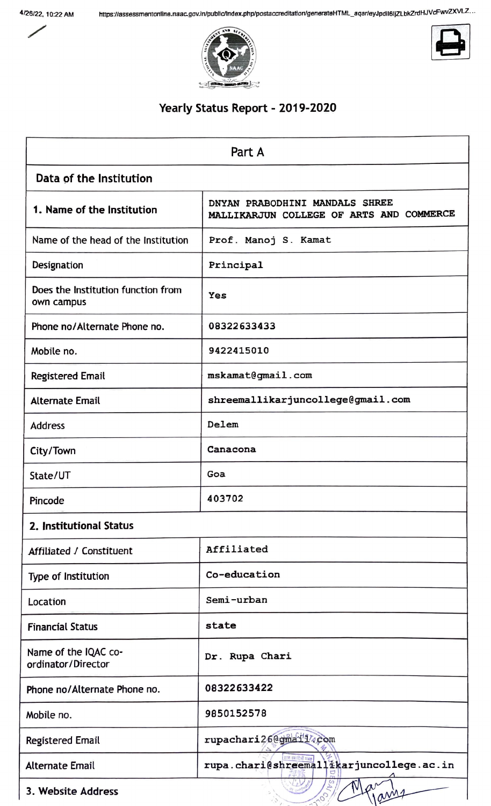







## **Yearly Status Report** - **2019-2020**

|                                                  | Part A                                                                     |
|--------------------------------------------------|----------------------------------------------------------------------------|
| Data of the Institution                          |                                                                            |
| 1. Name of the Institution                       | DNYAN PRABODHINI MANDALS SHREE<br>MALLIKARJUN COLLEGE OF ARTS AND COMMERCE |
| Name of the head of the Institution              | Prof. Manoj S. Kamat                                                       |
| Designation                                      | Principal                                                                  |
| Does the Institution function from<br>own campus | Yes                                                                        |
| Phone no/Alternate Phone no.                     | 08322633433                                                                |
| Mobile no.                                       | 9422415010                                                                 |
| <b>Registered Email</b>                          | mskamat@gmail.com                                                          |
| <b>Alternate Email</b>                           | shreemallikarjuncollege@gmail.com                                          |
| <b>Address</b>                                   | Delem                                                                      |
| City/Town                                        | Canacona                                                                   |
| State/UT                                         | Goa                                                                        |
| Pincode                                          | 403702                                                                     |
| 2. Institutional Status                          |                                                                            |
| Affiliated / Constituent                         | Affiliated                                                                 |
| Type of Institution                              | Co-education                                                               |
| Location                                         | Semi-urban                                                                 |
| <b>Financial Status</b>                          | state                                                                      |
| Name of the IQAC co-<br>ordinator/Director       | Dr. Rupa Chari                                                             |
| Phone no/Alternate Phone no.                     | 08322633422                                                                |
| Mobile no.                                       | 9850152578                                                                 |
| Registered Email                                 | rupachari26@gmail14com                                                     |
| <b>Alternate Email</b>                           | rupa.chari@shreemallikarjuncollege.ac.in                                   |
| 3. Website Address                               |                                                                            |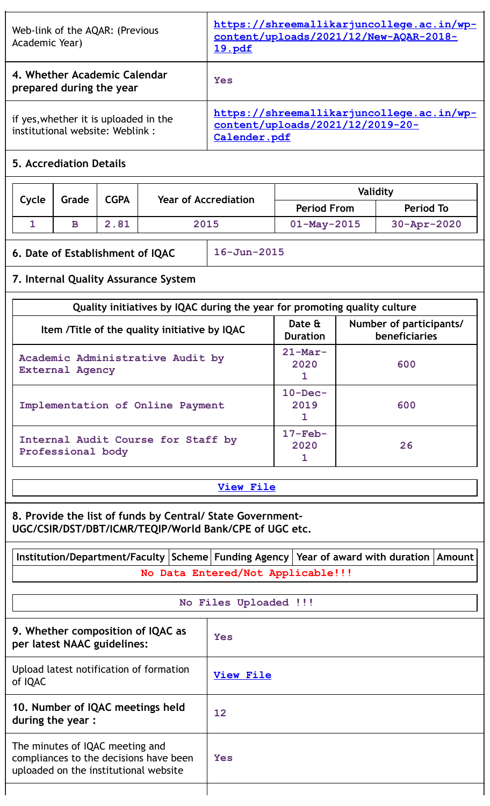| Web-link of the AQAR: (Previous<br>Academic Year)                        | https://shreemallikarjuncollege.ac.in/wp-<br>content/uploads/2021/12/New-AQAR-2018-<br><u>19.pdf</u> |
|--------------------------------------------------------------------------|------------------------------------------------------------------------------------------------------|
| 4. Whether Academic Calendar<br>prepared during the year                 | Yes                                                                                                  |
| if yes, whether it is uploaded in the<br>institutional website: Weblink: | https://shreemallikarjuncollege.ac.in/wp-<br>content/uploads/2021/12/2019-20-<br>Calender.pdf        |

# **5. Accrediation Details**

| Cycle | Grade | <b>CGPA</b> | <b>Year of Accrediation</b> | Validity           |                    |  |
|-------|-------|-------------|-----------------------------|--------------------|--------------------|--|
|       |       |             |                             | <b>Period From</b> | <b>Period To</b>   |  |
|       | в     | 2.81        | 2015                        | $01 - May - 2015$  | $30 - Appr - 2020$ |  |

# **6. Date of Establishment of IQAC 16-Jun-2015**

# **7. Internal Quality Assurance System**

| Quality initiatives by IQAC during the year for promoting quality culture |                           |                                          |  |  |
|---------------------------------------------------------------------------|---------------------------|------------------------------------------|--|--|
| Item / Title of the quality initiative by IQAC                            | Date &<br><b>Duration</b> | Number of participants/<br>beneficiaries |  |  |
| Academic Administrative Audit by<br><b>External Agency</b>                | $21$ -Mar-<br>2020        | 600                                      |  |  |
| Implementation of Online Payment                                          | $10 - Dec-$<br>2019       | 600                                      |  |  |
| Internal Audit Course for Staff by<br>Professional body                   | $17-Feb-$<br>2020         | 26                                       |  |  |

## **[View](https://assessmentonline.naac.gov.in/public/Postacc/Quality_Initiatives/8958_Quality_Initiatives.xlsx) File**

**8. Provide the list of funds by Central/ State Government-UGC/CSIR/DST/DBT/ICMR/TEQIP/World Bank/CPE of UGC etc.**

| Institution/Department/Faculty   Scheme   Funding Agency   Year of award with duration   Amount |  |                                   |  |  |
|-------------------------------------------------------------------------------------------------|--|-----------------------------------|--|--|
|                                                                                                 |  | No Data Entered/Not Applicable!!! |  |  |
| No Files Uploaded !!!                                                                           |  |                                   |  |  |
| 9. Whether composition of IQAC as<br>per latest NAAC guidelines:                                |  | Yes                               |  |  |
| Upload latest notification of formation<br>of IQAC                                              |  | <b>View File</b>                  |  |  |
| 10. Number of IQAC meetings held<br>during the year:                                            |  | 12                                |  |  |

| during the year :                                                                                                  |     |
|--------------------------------------------------------------------------------------------------------------------|-----|
| The minutes of IQAC meeting and<br>compliances to the decisions have been<br>uploaded on the institutional website | Yes |
|                                                                                                                    |     |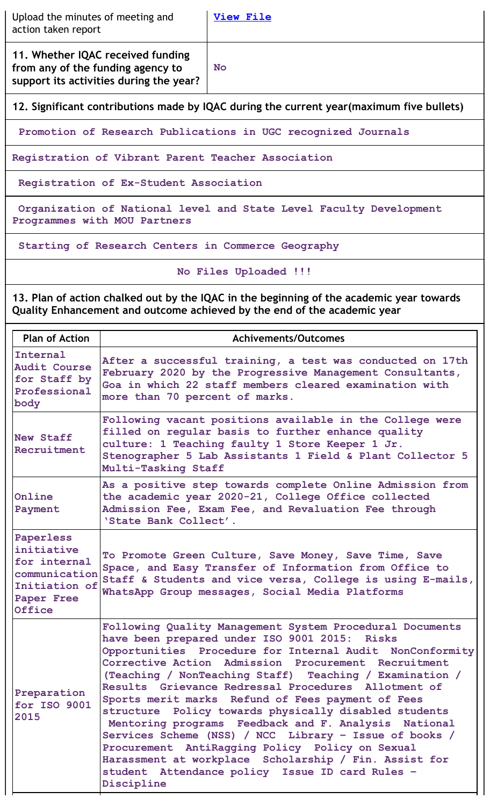| Upload the minutes of meeting and<br>action taken report                                                          | View File |
|-------------------------------------------------------------------------------------------------------------------|-----------|
| 11. Whether IQAC received funding<br>from any of the funding agency to<br>support its activities during the year? | <b>No</b> |

**12. Significant contributions made by IQAC during the current year(maximum five bullets)**

**Promotion of Research Publications in UGC recognized Journals**

**Registration of Vibrant Parent Teacher Association**

**Registration of Ex-Student Association**

**Organization of National level and State Level Faculty Development Programmes with MOU Partners**

**Starting of Research Centers in Commerce Geography**

**No Files Uploaded !!!**

**13. Plan of action chalked out by the IQAC in the beginning of the academic year towards Quality Enhancement and outcome achieved by the end of the academic year**

| <b>Plan of Action</b>                                                                             | <b>Achivements/Outcomes</b>                                                                                                                                                                                                                                                                                                                                                                                                                                                                                                                                                                                                                                                                                                                                 |
|---------------------------------------------------------------------------------------------------|-------------------------------------------------------------------------------------------------------------------------------------------------------------------------------------------------------------------------------------------------------------------------------------------------------------------------------------------------------------------------------------------------------------------------------------------------------------------------------------------------------------------------------------------------------------------------------------------------------------------------------------------------------------------------------------------------------------------------------------------------------------|
| Internal<br><b>Audit Course</b><br>for Staff by<br>Professional<br>body                           | After a successful training, a test was conducted on 17th<br>February 2020 by the Progressive Management Consultants,<br>Goa in which 22 staff members cleared examination with<br>more than 70 percent of marks.                                                                                                                                                                                                                                                                                                                                                                                                                                                                                                                                           |
| New Staff<br>Recruitment                                                                          | Following vacant positions available in the College were<br>filled on regular basis to further enhance quality<br>culture: 1 Teaching faulty 1 Store Keeper 1 Jr.<br>Stenographer 5 Lab Assistants 1 Field & Plant Collector 5<br>Multi-Tasking Staff                                                                                                                                                                                                                                                                                                                                                                                                                                                                                                       |
| Online<br>Payment                                                                                 | As a positive step towards complete Online Admission from<br>the academic year 2020-21, College Office collected<br>Admission Fee, Exam Fee, and Revaluation Fee through<br>'State Bank Collect'.                                                                                                                                                                                                                                                                                                                                                                                                                                                                                                                                                           |
| Paperless<br>initiative<br>for internal<br>communication<br>Initiation of<br>Paper Free<br>Office | To Promote Green Culture, Save Money, Save Time, Save<br>Space, and Easy Transfer of Information from Office to<br>Staff & Students and vice versa, College is using E-mails,<br>WhatsApp Group messages, Social Media Platforms                                                                                                                                                                                                                                                                                                                                                                                                                                                                                                                            |
| Preparation<br>for ISO 9001<br>2015                                                               | Following Quality Management System Procedural Documents<br>have been prepared under ISO 9001 2015: Risks<br>Opportunities Procedure for Internal Audit NonConformity<br>Corrective Action Admission Procurement Recruitment<br>(Teaching / NonTeaching Staff) Teaching / Examination /<br>Results Grievance Redressal Procedures Allotment of<br>Sports merit marks Refund of Fees payment of Fees<br>structure Policy towards physically disabled students<br>Mentoring programs Feedback and F. Analysis National<br>Services Scheme (NSS) / NCC Library - Issue of books /<br>Procurement AntiRagging Policy Policy on Sexual<br>Harassment at workplace Scholarship / Fin. Assist for<br>student Attendance policy Issue ID card Rules -<br>Discipline |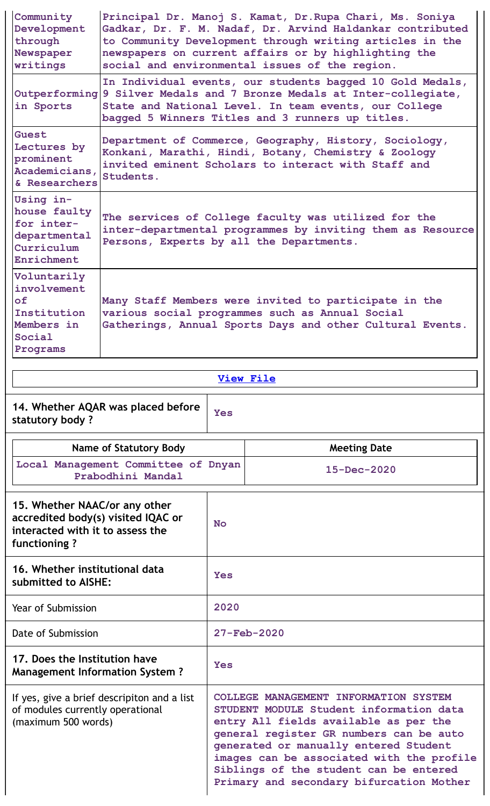| Community<br>Development<br>through<br>Newspaper<br>writings                                                            | Principal Dr. Manoj S. Kamat, Dr. Rupa Chari, Ms. Soniya<br>Gadkar, Dr. F. M. Nadaf, Dr. Arvind Haldankar contributed<br>to Community Development through writing articles in the<br>newspapers on current affairs or by highlighting the<br>social and environmental issues of the region. |                |                     |
|-------------------------------------------------------------------------------------------------------------------------|---------------------------------------------------------------------------------------------------------------------------------------------------------------------------------------------------------------------------------------------------------------------------------------------|----------------|---------------------|
| in Sports                                                                                                               | In Individual events, our students bagged 10 Gold Medals,<br>Outperforming 9 Silver Medals and 7 Bronze Medals at Inter-collegiate,<br>State and National Level. In team events, our College<br>bagged 5 Winners Titles and 3 runners up titles.                                            |                |                     |
| Guest<br>Lectures by<br>prominent<br>Academicians,<br>& Researchers                                                     | Department of Commerce, Geography, History, Sociology,<br>Konkani, Marathi, Hindi, Botany, Chemistry & Zoology<br>invited eminent Scholars to interact with Staff and<br>Students.                                                                                                          |                |                     |
| Using in-<br>house faulty<br>for inter-<br>departmental<br>Curriculum<br>Enrichment                                     | The services of College faculty was utilized for the<br>inter-departmental programmes by inviting them as Resource<br>Persons, Experts by all the Departments.                                                                                                                              |                |                     |
| Voluntarily<br>involvement<br><b>of</b><br>Institution<br>Members in<br>Social<br>Programs                              | Many Staff Members were invited to participate in the<br>various social programmes such as Annual Social<br>Gatherings, Annual Sports Days and other Cultural Events.                                                                                                                       |                |                     |
|                                                                                                                         |                                                                                                                                                                                                                                                                                             |                | <b>View File</b>    |
|                                                                                                                         | 14. Whether AQAR was placed before                                                                                                                                                                                                                                                          |                |                     |
| statutory body?                                                                                                         |                                                                                                                                                                                                                                                                                             | Yes            |                     |
|                                                                                                                         | <b>Name of Statutory Body</b>                                                                                                                                                                                                                                                               |                | <b>Meeting Date</b> |
|                                                                                                                         | Local Management Committee of Dnyan<br>Prabodhini Mandal                                                                                                                                                                                                                                    |                | $15 - Dec - 2020$   |
| 15. Whether NAAC/or any other<br>accredited body(s) visited IQAC or<br>interacted with it to assess the<br>functioning? |                                                                                                                                                                                                                                                                                             | N <sub>O</sub> |                     |
| 16. Whether institutional data<br>submitted to AISHE:                                                                   |                                                                                                                                                                                                                                                                                             | Yes            |                     |
| Year of Submission                                                                                                      |                                                                                                                                                                                                                                                                                             | 2020           |                     |
| Date of Submission                                                                                                      |                                                                                                                                                                                                                                                                                             |                | 27-Feb-2020         |
| 17. Does the Institution have<br><b>Management Information System?</b>                                                  |                                                                                                                                                                                                                                                                                             | Yes            |                     |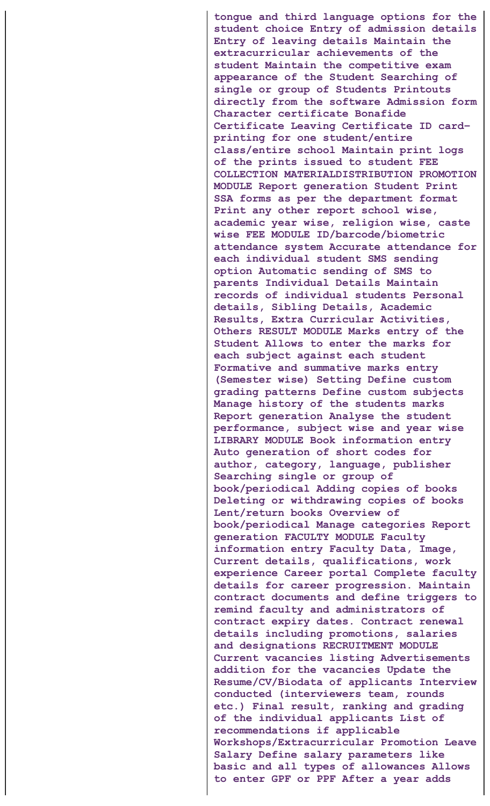**tongue and third language options for the student choice Entry of admission details Entry of leaving details Maintain the extracurricular achievements of the student Maintain the competitive exam appearance of the Student Searching of single or group of Students Printouts directly from the software Admission form Character certificate Bonafide Certificate Leaving Certificate ID card– printing for one student/entire class/entire school Maintain print logs of the prints issued to student FEE COLLECTION MATERIALDISTRIBUTION PROMOTION MODULE Report generation Student Print SSA forms as per the department format Print any other report school wise, academic year wise, religion wise, caste wise FEE MODULE ID/barcode/biometric attendance system Accurate attendance for each individual student SMS sending option Automatic sending of SMS to parents Individual Details Maintain records of individual students Personal details, Sibling Details, Academic Results, Extra Curricular Activities, Others RESULT MODULE Marks entry of the Student Allows to enter the marks for each subject against each student Formative and summative marks entry (Semester wise) Setting Define custom grading patterns Define custom subjects Manage history of the students marks Report generation Analyse the student performance, subject wise and year wise LIBRARY MODULE Book information entry Auto generation of short codes for author, category, language, publisher Searching single or group of book/periodical Adding copies of books Deleting or withdrawing copies of books Lent/return books Overview of book/periodical Manage categories Report generation FACULTY MODULE Faculty information entry Faculty Data, Image, Current details, qualifications, work experience Career portal Complete faculty details for career progression. Maintain contract documents and define triggers to remind faculty and administrators of contract expiry dates. Contract renewal details including promotions, salaries and designations RECRUITMENT MODULE Current vacancies listing Advertisements addition for the vacancies Update the Resume/CV/Biodata of applicants Interview conducted (interviewers team, rounds etc.) Final result, ranking and grading of the individual applicants List of recommendations if applicable Workshops/Extracurricular Promotion Leave Salary Define salary parameters like basic and all types of allowances Allows to enter GPF or PPF After a year adds**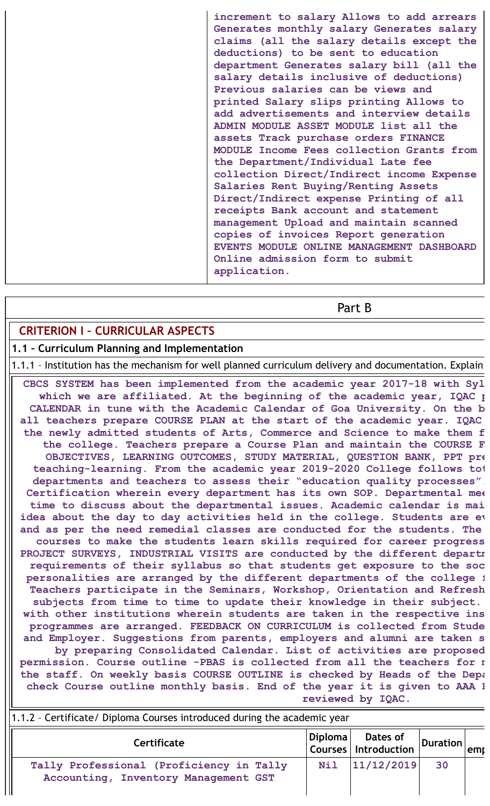**increment to salary Allows to add arrears Generates monthly salary Generates salary claims (all the salary details except the deductions) to be sent to education department Generates salary bill (all the salary details inclusive of deductions) Previous salaries can be views and printed Salary slips printing Allows to add advertisements and interview details ADMIN MODULE ASSET MODULE list all the assets Track purchase orders FINANCE MODULE Income Fees collection Grants from the Department/Individual Late fee collection Direct/Indirect income Expense Salaries Rent Buying/Renting Assets Direct/Indirect expense Printing of all receipts Bank account and statement management Upload and maintain scanned copies of invoices Report generation EVENTS MODULE ONLINE MANAGEMENT DASHBOARD Online admission form to submit application.**

Part B

### **CRITERION I – CURRICULAR ASPECTS**

### **1.1 – Curriculum Planning and Implementation**

1.1.1 – Institution has the mechanism for well planned curriculum delivery and documentation. Explain

**CBCS SYSTEM has been implemented from the academic year 2017-18 with Syl which we are affiliated. At the beginning of the academic year, IQAC p CALENDAR in tune with the Academic Calendar of Goa University. On the b all teachers prepare COURSE PLAN at the start of the academic year. IQAC the newly admitted students of Arts, Commerce and Science to make them f the college. Teachers prepare a Course Plan and maintain the COURSE F OBJECTIVES, LEARNING OUTCOMES, STUDY MATERIAL, QUESTION BANK, PPT pre teaching-learning. From the academic year 2019-2020 College follows tot departments and teachers to assess their "education quality processes". Certification wherein every department has its own SOP. Departmental mee time to discuss about the departmental issues. Academic calendar is mai idea about the day to day activities held in the college. Students are ev and as per the need remedial classes are conducted for the students. The courses to make the students learn skills required for career progress PROJECT SURVEYS, INDUSTRIAL VISITS are conducted by the different departm requirements of their syllabus so that students get exposure to the soc personalities are arranged by the different departments of the college f Teachers participate in the Seminars, Workshop, Orientation and Refresh subjects from time to time to update their knowledge in their subject. with other institutions wherein students are taken in the respective ins programmes are arranged. FEEDBACK ON CURRICULUM is collected from Stude and Employer. Suggestions from parents, employers and alumni are taken s by preparing Consolidated Calendar. List of activities are proposed permission. Course outline -PBAS is collected from all the teachers for m the staff. On weekly basis COURSE OUTLINE is checked by Heads of the Depa check Course outline monthly basis. End of the year it is given to AAA F**

**reviewed by IQAC.**

| 1.1.2 - Certificate/ Diploma Courses introduced during the academic year         |     |                                                                           |          |      |
|----------------------------------------------------------------------------------|-----|---------------------------------------------------------------------------|----------|------|
| <b>Certificate</b>                                                               |     | $\begin{array}{ l l }\n\hline\nDiploma & Dates of \\ \hline\n\end{array}$ | Duration | lemr |
| Tally Professional (Proficiency in Tally<br>Accounting, Inventory Management GST | Nil | 11/12/2019                                                                | 30       |      |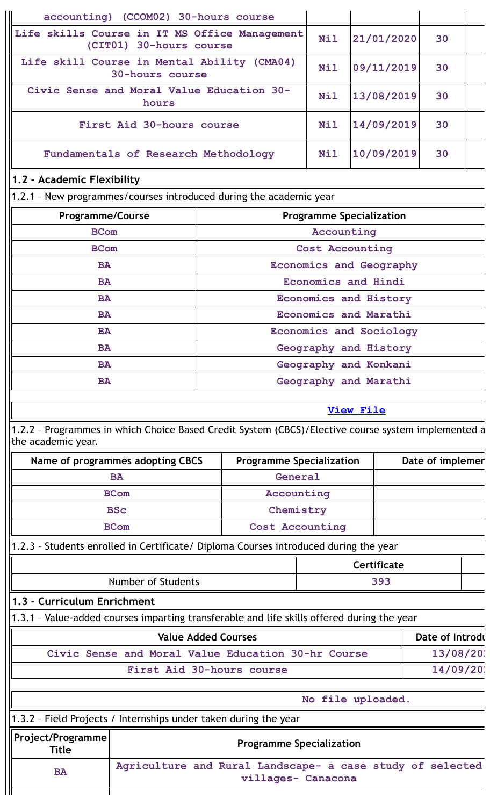|                                                                | accounting) (CCOM02) 30-hours course                                     |                                                                                                    |                 |                                 |                  |  |
|----------------------------------------------------------------|--------------------------------------------------------------------------|----------------------------------------------------------------------------------------------------|-----------------|---------------------------------|------------------|--|
|                                                                | Life skills Course in IT MS Office Management<br>(CIT01) 30-hours course |                                                                                                    |                 | 21/01/2020                      | 30               |  |
| Life skill Course in Mental Ability (CMA04)<br>30-hours course |                                                                          |                                                                                                    | <b>Nil</b>      | 09/11/2019                      | 30               |  |
|                                                                | Civic Sense and Moral Value Education 30-<br>hours                       |                                                                                                    |                 | 13/08/2019                      | 30               |  |
|                                                                | First Aid 30-hours course                                                |                                                                                                    | <b>Nil</b>      | 14/09/2019                      | 30               |  |
|                                                                | Fundamentals of Research Methodology                                     |                                                                                                    | <b>Nil</b>      | 10/09/2019                      | 30               |  |
| 1.2 - Academic Flexibility                                     |                                                                          |                                                                                                    |                 |                                 |                  |  |
|                                                                |                                                                          | 1.2.1 - New programmes/courses introduced during the academic year                                 |                 |                                 |                  |  |
| <b>Programme/Course</b>                                        |                                                                          |                                                                                                    |                 | <b>Programme Specialization</b> |                  |  |
| <b>BCom</b>                                                    |                                                                          |                                                                                                    | Accounting      |                                 |                  |  |
| <b>BCom</b>                                                    |                                                                          |                                                                                                    | Cost Accounting |                                 |                  |  |
| <b>BA</b>                                                      |                                                                          |                                                                                                    |                 | Economics and Geography         |                  |  |
| <b>BA</b>                                                      |                                                                          |                                                                                                    |                 | <b>Economics and Hindi</b>      |                  |  |
| <b>BA</b>                                                      |                                                                          |                                                                                                    |                 | Economics and History           |                  |  |
| <b>BA</b>                                                      |                                                                          |                                                                                                    |                 | Economics and Marathi           |                  |  |
| <b>BA</b>                                                      |                                                                          |                                                                                                    |                 | Economics and Sociology         |                  |  |
| <b>BA</b>                                                      |                                                                          |                                                                                                    |                 | Geography and History           |                  |  |
| <b>BA</b>                                                      |                                                                          |                                                                                                    |                 | Geography and Konkani           |                  |  |
| <b>BA</b>                                                      |                                                                          |                                                                                                    |                 | Geography and Marathi           |                  |  |
|                                                                |                                                                          |                                                                                                    |                 |                                 |                  |  |
|                                                                |                                                                          |                                                                                                    |                 | <b>View File</b>                |                  |  |
|                                                                |                                                                          |                                                                                                    |                 |                                 |                  |  |
| the academic year.                                             |                                                                          | 1.2.2 - Programmes in which Choice Based Credit System (CBCS)/Elective course system implemented a |                 |                                 |                  |  |
|                                                                | Name of programmes adopting CBCS                                         | <b>Programme Specialization</b>                                                                    |                 |                                 | Date of implemer |  |
|                                                                | <b>BA</b>                                                                | General                                                                                            |                 |                                 |                  |  |
|                                                                | <b>BCom</b>                                                              | Accounting                                                                                         |                 |                                 |                  |  |
|                                                                | <b>BSc</b>                                                               | Chemistry                                                                                          |                 |                                 |                  |  |
|                                                                | <b>BCom</b>                                                              | Cost Accounting                                                                                    |                 |                                 |                  |  |
|                                                                |                                                                          | 1.2.3 - Students enrolled in Certificate/ Diploma Courses introduced during the year               |                 |                                 |                  |  |
|                                                                |                                                                          |                                                                                                    |                 | Certificate                     |                  |  |
|                                                                | <b>Number of Students</b>                                                |                                                                                                    |                 | 393                             |                  |  |
| 1.3 - Curriculum Enrichment                                    |                                                                          |                                                                                                    |                 |                                 |                  |  |
|                                                                |                                                                          | 1.3.1 - Value-added courses imparting transferable and life skills offered during the year         |                 |                                 |                  |  |
|                                                                |                                                                          | <b>Value Added Courses</b>                                                                         |                 |                                 | Date of Introdu  |  |
|                                                                |                                                                          | Civic Sense and Moral Value Education 30-hr Course                                                 |                 |                                 | 13/08/201        |  |
|                                                                |                                                                          | First Aid 30-hours course                                                                          |                 |                                 | 14/09/201        |  |
|                                                                |                                                                          |                                                                                                    |                 |                                 |                  |  |
|                                                                |                                                                          |                                                                                                    |                 | No file uploaded.               |                  |  |
|                                                                |                                                                          | 1.3.2 - Field Projects / Internships under taken during the year                                   |                 |                                 |                  |  |
| Project/Programme<br><b>Title</b>                              |                                                                          | <b>Programme Specialization</b>                                                                    |                 |                                 |                  |  |
| <b>BA</b>                                                      |                                                                          | Agriculture and Rural Landscape- a case study of selected<br>villages- Canacona                    |                 |                                 |                  |  |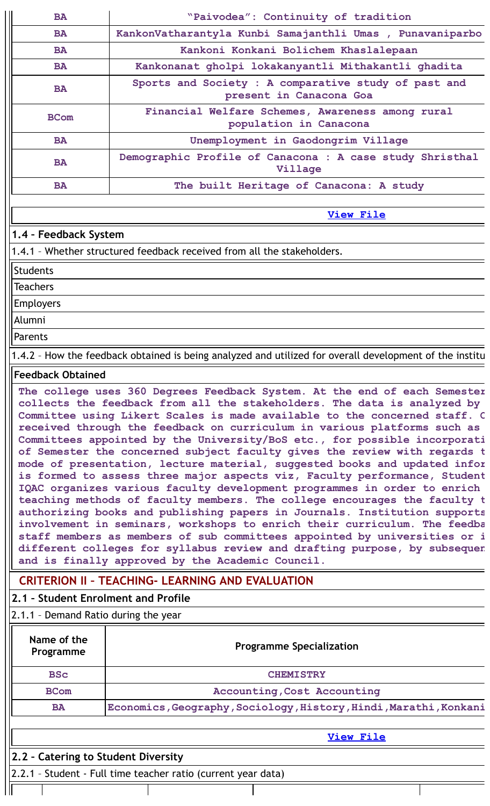| <b>BA</b>             | "Paivodea": Continuity of tradition                                             |
|-----------------------|---------------------------------------------------------------------------------|
| <b>BA</b>             | KankonVatharantyla Kunbi Samajanthli Umas , Punavaniparbo                       |
| <b>BA</b>             | Kankoni Konkani Bolichem Khaslalepaan                                           |
| <b>BA</b>             | Kankonanat gholpi lokakanyantli Mithakantli ghadita                             |
| <b>BA</b>             | Sports and Society : A comparative study of past and<br>present in Canacona Goa |
| <b>BCom</b>           | Financial Welfare Schemes, Awareness among rural<br>population in Canacona      |
| <b>BA</b>             | Unemployment in Gaodongrim Village                                              |
| <b>BA</b>             | Demographic Profile of Canacona : A case study Shristhal<br>Village             |
| <b>BA</b>             | The built Heritage of Canacona: A study                                         |
|                       |                                                                                 |
|                       | <b>View File</b>                                                                |
| 1.4 - Feedback System |                                                                                 |
|                       | 1.4.1 - Whether structured feedback received from all the stakeholders.         |

### Students

**Teachers** 

Employers

Alumni

Parents

1.4.2 – How the feedback obtained is being analyzed and utilized for overall development of the institu

## **Feedback Obtained**

**The college uses 360 Degrees Feedback System. At the end of each Semester collects the feedback from all the stakeholders. The data is analyzed by Committee using Likert Scales is made available to the concerned staff. O received through the feedback on curriculum in various platforms such as Committees appointed by the University/BoS etc., for possible incorporati of Semester the concerned subject faculty gives the review with regards t mode of presentation, lecture material, suggested books and updated infor is formed to assess three major aspects viz, Faculty performance, Student IQAC organizes various faculty development programmes in order to enrich teaching methods of faculty members. The college encourages the faculty t authorizing books and publishing papers in Journals. Institution supports involvement in seminars, workshops to enrich their curriculum. The feedba staff members as members of sub committees appointed by universities or i different colleges for syllabus review and drafting purpose, by subsequen and is finally approved by the Academic Council.**

## **CRITERION II – TEACHING- LEARNING AND EVALUATION**

## **2.1 – Student Enrolment and Profile**

2.1.1 – Demand Ratio during the year

| Name of the<br>Programme            | <b>Programme Specialization</b>                                   |  |  |  |
|-------------------------------------|-------------------------------------------------------------------|--|--|--|
| <b>BSc</b>                          | <b>CHEMISTRY</b>                                                  |  |  |  |
| <b>BCom</b>                         | Accounting, Cost Accounting                                       |  |  |  |
| <b>BA</b>                           | Economics, Geography, Sociology, History, Hindi, Marathi, Konkani |  |  |  |
|                                     | View File                                                         |  |  |  |
| 2.2 - Catering to Student Diversity |                                                                   |  |  |  |

2.2.1 – Student - Full time teacher ratio (current year data)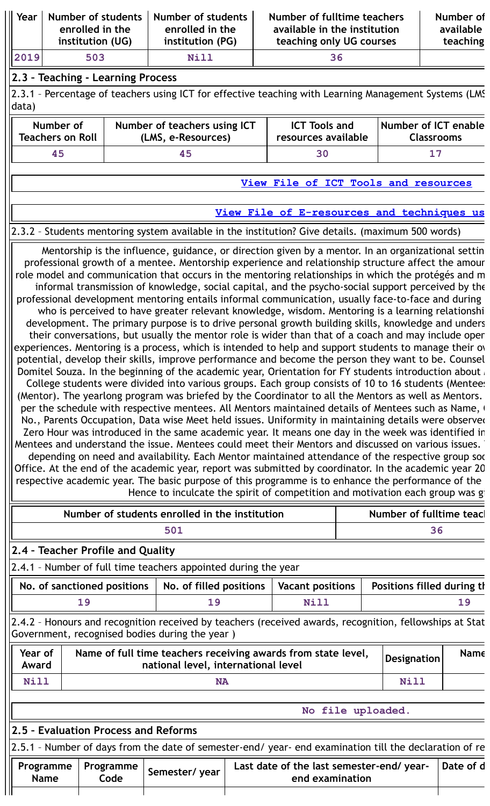| Year                                                                                                                                                                                                                                                                                                                                                                                                                                                                                                                                                                                                                                                                                                                                                                                                                                                                                                                                                                                                                                                                                                                                                                                                                                                                                                                                                                                                                                                                                                                                                                                                                                                                                                                                                                                                                                                                                                                                                                                                                                                                                                               |                                                                                                                                                           | Number of students<br>enrolled in the | Number of students<br>enrolled in the                                                                  |  | Number of fulltime teachers<br>available in the institution |  |                                                  | Number of<br>available                                         |  |  |  |  |  |  |
|--------------------------------------------------------------------------------------------------------------------------------------------------------------------------------------------------------------------------------------------------------------------------------------------------------------------------------------------------------------------------------------------------------------------------------------------------------------------------------------------------------------------------------------------------------------------------------------------------------------------------------------------------------------------------------------------------------------------------------------------------------------------------------------------------------------------------------------------------------------------------------------------------------------------------------------------------------------------------------------------------------------------------------------------------------------------------------------------------------------------------------------------------------------------------------------------------------------------------------------------------------------------------------------------------------------------------------------------------------------------------------------------------------------------------------------------------------------------------------------------------------------------------------------------------------------------------------------------------------------------------------------------------------------------------------------------------------------------------------------------------------------------------------------------------------------------------------------------------------------------------------------------------------------------------------------------------------------------------------------------------------------------------------------------------------------------------------------------------------------------|-----------------------------------------------------------------------------------------------------------------------------------------------------------|---------------------------------------|--------------------------------------------------------------------------------------------------------|--|-------------------------------------------------------------|--|--------------------------------------------------|----------------------------------------------------------------|--|--|--|--|--|--|
|                                                                                                                                                                                                                                                                                                                                                                                                                                                                                                                                                                                                                                                                                                                                                                                                                                                                                                                                                                                                                                                                                                                                                                                                                                                                                                                                                                                                                                                                                                                                                                                                                                                                                                                                                                                                                                                                                                                                                                                                                                                                                                                    |                                                                                                                                                           | institution (UG)                      | institution (PG)                                                                                       |  | teaching only UG courses                                    |  |                                                  | teaching                                                       |  |  |  |  |  |  |
| 2019                                                                                                                                                                                                                                                                                                                                                                                                                                                                                                                                                                                                                                                                                                                                                                                                                                                                                                                                                                                                                                                                                                                                                                                                                                                                                                                                                                                                                                                                                                                                                                                                                                                                                                                                                                                                                                                                                                                                                                                                                                                                                                               |                                                                                                                                                           | 503                                   | Nill                                                                                                   |  | 36                                                          |  |                                                  |                                                                |  |  |  |  |  |  |
|                                                                                                                                                                                                                                                                                                                                                                                                                                                                                                                                                                                                                                                                                                                                                                                                                                                                                                                                                                                                                                                                                                                                                                                                                                                                                                                                                                                                                                                                                                                                                                                                                                                                                                                                                                                                                                                                                                                                                                                                                                                                                                                    |                                                                                                                                                           | 2.3 - Teaching - Learning Process     |                                                                                                        |  |                                                             |  |                                                  |                                                                |  |  |  |  |  |  |
| data)                                                                                                                                                                                                                                                                                                                                                                                                                                                                                                                                                                                                                                                                                                                                                                                                                                                                                                                                                                                                                                                                                                                                                                                                                                                                                                                                                                                                                                                                                                                                                                                                                                                                                                                                                                                                                                                                                                                                                                                                                                                                                                              |                                                                                                                                                           |                                       | 2.3.1 - Percentage of teachers using ICT for effective teaching with Learning Management Systems (LMS) |  |                                                             |  |                                                  |                                                                |  |  |  |  |  |  |
|                                                                                                                                                                                                                                                                                                                                                                                                                                                                                                                                                                                                                                                                                                                                                                                                                                                                                                                                                                                                                                                                                                                                                                                                                                                                                                                                                                                                                                                                                                                                                                                                                                                                                                                                                                                                                                                                                                                                                                                                                                                                                                                    | Number of<br><b>Teachers on Roll</b>                                                                                                                      |                                       | Number of teachers using ICT<br>(LMS, e-Resources)                                                     |  | <b>ICT Tools and</b><br>resources available                 |  | <b>Number of ICT enable</b><br><b>Classrooms</b> |                                                                |  |  |  |  |  |  |
|                                                                                                                                                                                                                                                                                                                                                                                                                                                                                                                                                                                                                                                                                                                                                                                                                                                                                                                                                                                                                                                                                                                                                                                                                                                                                                                                                                                                                                                                                                                                                                                                                                                                                                                                                                                                                                                                                                                                                                                                                                                                                                                    | 45                                                                                                                                                        |                                       | 45                                                                                                     |  | 30                                                          |  | 17                                               |                                                                |  |  |  |  |  |  |
|                                                                                                                                                                                                                                                                                                                                                                                                                                                                                                                                                                                                                                                                                                                                                                                                                                                                                                                                                                                                                                                                                                                                                                                                                                                                                                                                                                                                                                                                                                                                                                                                                                                                                                                                                                                                                                                                                                                                                                                                                                                                                                                    |                                                                                                                                                           |                                       |                                                                                                        |  | View File of ICT Tools and resources                        |  |                                                  |                                                                |  |  |  |  |  |  |
|                                                                                                                                                                                                                                                                                                                                                                                                                                                                                                                                                                                                                                                                                                                                                                                                                                                                                                                                                                                                                                                                                                                                                                                                                                                                                                                                                                                                                                                                                                                                                                                                                                                                                                                                                                                                                                                                                                                                                                                                                                                                                                                    |                                                                                                                                                           |                                       |                                                                                                        |  |                                                             |  |                                                  |                                                                |  |  |  |  |  |  |
|                                                                                                                                                                                                                                                                                                                                                                                                                                                                                                                                                                                                                                                                                                                                                                                                                                                                                                                                                                                                                                                                                                                                                                                                                                                                                                                                                                                                                                                                                                                                                                                                                                                                                                                                                                                                                                                                                                                                                                                                                                                                                                                    |                                                                                                                                                           |                                       |                                                                                                        |  | View File of E-resources and techniques us                  |  |                                                  |                                                                |  |  |  |  |  |  |
|                                                                                                                                                                                                                                                                                                                                                                                                                                                                                                                                                                                                                                                                                                                                                                                                                                                                                                                                                                                                                                                                                                                                                                                                                                                                                                                                                                                                                                                                                                                                                                                                                                                                                                                                                                                                                                                                                                                                                                                                                                                                                                                    |                                                                                                                                                           |                                       | 2.3.2 - Students mentoring system available in the institution? Give details. (maximum 500 words)      |  |                                                             |  |                                                  |                                                                |  |  |  |  |  |  |
| professional growth of a mentee. Mentorship experience and relationship structure affect the amour<br>role model and communication that occurs in the mentoring relationships in which the protégés and m<br>informal transmission of knowledge, social capital, and the psycho-social support perceived by the<br>professional development mentoring entails informal communication, usually face-to-face and during<br>who is perceived to have greater relevant knowledge, wisdom. Mentoring is a learning relationshi<br>development. The primary purpose is to drive personal growth building skills, knowledge and unders<br>their conversations, but usually the mentor role is wider than that of a coach and may include open<br>experiences. Mentoring is a process, which is intended to help and support students to manage their over<br>potential, develop their skills, improve performance and become the person they want to be. Counsel<br>Domitel Souza. In the beginning of the academic year, Orientation for FY students introduction about<br>College students were divided into various groups. Each group consists of 10 to 16 students (Mentees<br>(Mentor). The yearlong program was briefed by the Coordinator to all the Mentors as well as Mentors.<br>per the schedule with respective mentees. All Mentors maintained details of Mentees such as Name, (<br>No., Parents Occupation, Data wise Meet held issues. Uniformity in maintaining details were observed<br>Zero Hour was introduced in the same academic year. It means one day in the week was identified in<br>Mentees and understand the issue. Mentees could meet their Mentors and discussed on various issues.<br>depending on need and availability. Each Mentor maintained attendance of the respective group soc<br>Office. At the end of the academic year, report was submitted by coordinator. In the academic year 20<br>respective academic year. The basic purpose of this programme is to enhance the performance of the<br>Hence to inculcate the spirit of competition and motivation each group was gi |                                                                                                                                                           |                                       |                                                                                                        |  |                                                             |  |                                                  |                                                                |  |  |  |  |  |  |
|                                                                                                                                                                                                                                                                                                                                                                                                                                                                                                                                                                                                                                                                                                                                                                                                                                                                                                                                                                                                                                                                                                                                                                                                                                                                                                                                                                                                                                                                                                                                                                                                                                                                                                                                                                                                                                                                                                                                                                                                                                                                                                                    |                                                                                                                                                           |                                       | Number of students enrolled in the institution                                                         |  |                                                             |  | Number of fulltime teacl                         |                                                                |  |  |  |  |  |  |
|                                                                                                                                                                                                                                                                                                                                                                                                                                                                                                                                                                                                                                                                                                                                                                                                                                                                                                                                                                                                                                                                                                                                                                                                                                                                                                                                                                                                                                                                                                                                                                                                                                                                                                                                                                                                                                                                                                                                                                                                                                                                                                                    |                                                                                                                                                           |                                       | 501                                                                                                    |  |                                                             |  | 36                                               |                                                                |  |  |  |  |  |  |
|                                                                                                                                                                                                                                                                                                                                                                                                                                                                                                                                                                                                                                                                                                                                                                                                                                                                                                                                                                                                                                                                                                                                                                                                                                                                                                                                                                                                                                                                                                                                                                                                                                                                                                                                                                                                                                                                                                                                                                                                                                                                                                                    |                                                                                                                                                           | 2.4 - Teacher Profile and Quality     |                                                                                                        |  |                                                             |  |                                                  |                                                                |  |  |  |  |  |  |
|                                                                                                                                                                                                                                                                                                                                                                                                                                                                                                                                                                                                                                                                                                                                                                                                                                                                                                                                                                                                                                                                                                                                                                                                                                                                                                                                                                                                                                                                                                                                                                                                                                                                                                                                                                                                                                                                                                                                                                                                                                                                                                                    |                                                                                                                                                           |                                       |                                                                                                        |  |                                                             |  |                                                  | 2.4.1 - Number of full time teachers appointed during the year |  |  |  |  |  |  |
|                                                                                                                                                                                                                                                                                                                                                                                                                                                                                                                                                                                                                                                                                                                                                                                                                                                                                                                                                                                                                                                                                                                                                                                                                                                                                                                                                                                                                                                                                                                                                                                                                                                                                                                                                                                                                                                                                                                                                                                                                                                                                                                    |                                                                                                                                                           | No. of sanctioned positions           | No. of filled positions                                                                                |  | <b>Vacant positions</b>                                     |  | Positions filled during th                       |                                                                |  |  |  |  |  |  |
|                                                                                                                                                                                                                                                                                                                                                                                                                                                                                                                                                                                                                                                                                                                                                                                                                                                                                                                                                                                                                                                                                                                                                                                                                                                                                                                                                                                                                                                                                                                                                                                                                                                                                                                                                                                                                                                                                                                                                                                                                                                                                                                    |                                                                                                                                                           | 19<br>19<br><b>Nill</b><br>19         |                                                                                                        |  |                                                             |  |                                                  |                                                                |  |  |  |  |  |  |
|                                                                                                                                                                                                                                                                                                                                                                                                                                                                                                                                                                                                                                                                                                                                                                                                                                                                                                                                                                                                                                                                                                                                                                                                                                                                                                                                                                                                                                                                                                                                                                                                                                                                                                                                                                                                                                                                                                                                                                                                                                                                                                                    | 2.4.2 - Honours and recognition received by teachers (received awards, recognition, fellowships at Stat<br>Government, recognised bodies during the year) |                                       |                                                                                                        |  |                                                             |  |                                                  |                                                                |  |  |  |  |  |  |
| Name of full time teachers receiving awards from state level,<br>Year of<br><b>Designation</b><br>national level, international level<br>Award                                                                                                                                                                                                                                                                                                                                                                                                                                                                                                                                                                                                                                                                                                                                                                                                                                                                                                                                                                                                                                                                                                                                                                                                                                                                                                                                                                                                                                                                                                                                                                                                                                                                                                                                                                                                                                                                                                                                                                     |                                                                                                                                                           |                                       |                                                                                                        |  |                                                             |  |                                                  |                                                                |  |  |  |  |  |  |
|                                                                                                                                                                                                                                                                                                                                                                                                                                                                                                                                                                                                                                                                                                                                                                                                                                                                                                                                                                                                                                                                                                                                                                                                                                                                                                                                                                                                                                                                                                                                                                                                                                                                                                                                                                                                                                                                                                                                                                                                                                                                                                                    |                                                                                                                                                           |                                       |                                                                                                        |  |                                                             |  |                                                  | Name                                                           |  |  |  |  |  |  |
| <b>Nill</b>                                                                                                                                                                                                                                                                                                                                                                                                                                                                                                                                                                                                                                                                                                                                                                                                                                                                                                                                                                                                                                                                                                                                                                                                                                                                                                                                                                                                                                                                                                                                                                                                                                                                                                                                                                                                                                                                                                                                                                                                                                                                                                        |                                                                                                                                                           |                                       | <b>NA</b>                                                                                              |  |                                                             |  | <b>Nill</b>                                      |                                                                |  |  |  |  |  |  |
|                                                                                                                                                                                                                                                                                                                                                                                                                                                                                                                                                                                                                                                                                                                                                                                                                                                                                                                                                                                                                                                                                                                                                                                                                                                                                                                                                                                                                                                                                                                                                                                                                                                                                                                                                                                                                                                                                                                                                                                                                                                                                                                    |                                                                                                                                                           |                                       |                                                                                                        |  |                                                             |  |                                                  |                                                                |  |  |  |  |  |  |
|                                                                                                                                                                                                                                                                                                                                                                                                                                                                                                                                                                                                                                                                                                                                                                                                                                                                                                                                                                                                                                                                                                                                                                                                                                                                                                                                                                                                                                                                                                                                                                                                                                                                                                                                                                                                                                                                                                                                                                                                                                                                                                                    |                                                                                                                                                           |                                       |                                                                                                        |  | No file uploaded.                                           |  |                                                  |                                                                |  |  |  |  |  |  |
|                                                                                                                                                                                                                                                                                                                                                                                                                                                                                                                                                                                                                                                                                                                                                                                                                                                                                                                                                                                                                                                                                                                                                                                                                                                                                                                                                                                                                                                                                                                                                                                                                                                                                                                                                                                                                                                                                                                                                                                                                                                                                                                    |                                                                                                                                                           | 2.5 - Evaluation Process and Reforms  | 2.5.1 - Number of days from the date of semester-end/ year- end examination till the declaration of re |  |                                                             |  |                                                  |                                                                |  |  |  |  |  |  |

 $\mathbb{I}$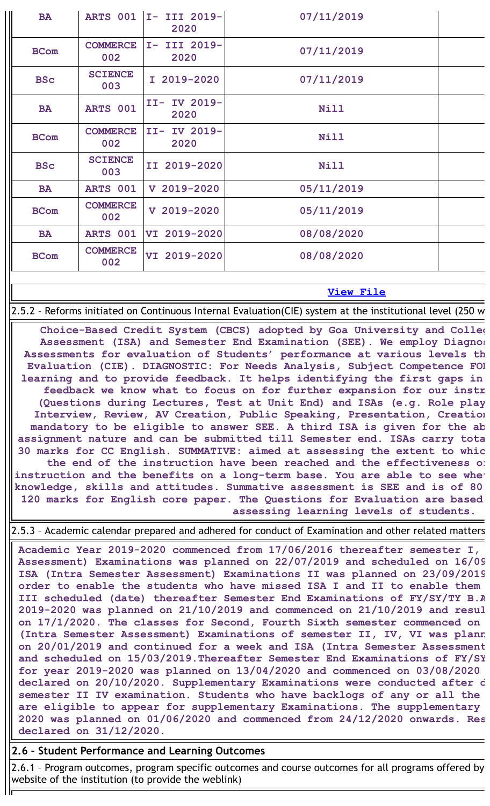| <b>BA</b>   |                        | ARTS 001   I- III 2019-<br>2020 | 07/11/2019  |
|-------------|------------------------|---------------------------------|-------------|
| <b>BCom</b> | <b>COMMERCE</b><br>002 | I- III 2019-<br>2020            | 07/11/2019  |
| <b>BSc</b>  | <b>SCIENCE</b><br>003  | I 2019-2020                     | 07/11/2019  |
| <b>BA</b>   | ARTS 001               | II- IV 2019-<br>2020            | <b>Nill</b> |
| <b>BCom</b> | <b>COMMERCE</b><br>002 | II- IV 2019-<br>2020            | <b>Nill</b> |
| <b>BSc</b>  | <b>SCIENCE</b><br>003  | II 2019-2020                    | <b>Nill</b> |
| <b>BA</b>   | ARTS 001               | $V$ 2019-2020                   | 05/11/2019  |
| <b>BCom</b> | <b>COMMERCE</b><br>002 | $V$ 2019-2020                   | 05/11/2019  |
| <b>BA</b>   | ARTS 001               | VI 2019-2020                    | 08/08/2020  |
| <b>BCom</b> | <b>COMMERCE</b><br>002 | VI 2019-2020                    | 08/08/2020  |
|             |                        |                                 |             |

### **View [File](https://assessmentonline.naac.gov.in/public/Postacc/Evaluation/8958_Evaluation_1639995055.xlsx)**

2.5.2 – Reforms initiated on Continuous Internal Evaluation(CIE) system at the institutional level (250 w

**Choice-Based Credit System (CBCS) adopted by Goa University and Colleg Assessment (ISA) and Semester End Examination (SEE). We employ Diagnos Assessments for evaluation of Students' performance at various levels th Evaluation (CIE). DIAGNOSTIC: For Needs Analysis, Subject Competence FOR learning and to provide feedback. It helps identifying the first gaps in feedback we know what to focus on for further expansion for our instr (Questions during Lectures, Test at Unit End) and ISAs (e.g. Role play Interview, Review, AV Creation, Public Speaking, Presentation, Creation mandatory to be eligible to answer SEE. A third ISA is given for the ab assignment nature and can be submitted till Semester end. ISAs carry tota 30 marks for CC English. SUMMATIVE: aimed at assessing the extent to whic the end of the instruction have been reached and the effectiveness of instruction and the benefits on a long-term base. You are able to see whet knowledge, skills and attitudes. Summative assessment is SEE and is of 80 120 marks for English core paper. The Questions for Evaluation are based assessing learning levels of students.**

2.5.3 – Academic calendar prepared and adhered for conduct of Examination and other related matters

**Academic Year 2019-2020 commenced from 17/06/2016 thereafter semester I, Assessment) Examinations was planned on 22/07/2019 and scheduled on 16/09 ISA (Intra Semester Assessment) Examinations II was planned on 23/09/2019 order to enable the students who have missed ISA I and II to enable them III scheduled (date) thereafter Semester End Examinations of FY/SY/TY B.A 2019-2020 was planned on 21/10/2019 and commenced on 21/10/2019 and resul on 17/1/2020. The classes for Second, Fourth Sixth semester commenced on (Intra Semester Assessment) Examinations of semester II, IV, VI was plann on 20/01/2019 and continued for a week and ISA (Intra Semester Assessment and scheduled on 15/03/2019.Thereafter Semester End Examinations of FY/SY for year 2019-2020 was planned on 13/04/2020 and commenced on 03/08/2020 declared on 20/10/2020. Supplementary Examinations were conducted after d semester II IV examination. Students who have backlogs of any or all the are eligible to appear for supplementary Examinations. The supplementary 2020 was planned on 01/06/2020 and commenced from 24/12/2020 onwards. Res declared on 31/12/2020.**

### **2.6 – Student Performance and Learning Outcomes**

2.6.1 – Program outcomes, program specific outcomes and course outcomes for all programs offered by website of the institution (to provide the weblink)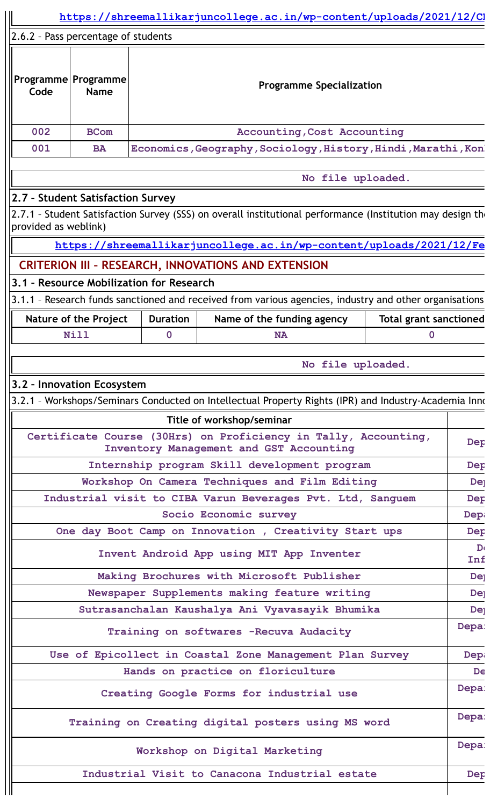|                                                          |                                             |                                          |  | https://shreemallikarjuncollege.ac.in/wp-content/uploads/2021/12/CI                                          |                   |                                    |                     |
|----------------------------------------------------------|---------------------------------------------|------------------------------------------|--|--------------------------------------------------------------------------------------------------------------|-------------------|------------------------------------|---------------------|
|                                                          | 2.6.2 - Pass percentage of students         |                                          |  |                                                                                                              |                   |                                    |                     |
| Code                                                     | Programme Programme<br><b>Name</b>          |                                          |  | <b>Programme Specialization</b>                                                                              |                   |                                    |                     |
| 002                                                      | <b>BCom</b>                                 |                                          |  | <b>Accounting, Cost Accounting</b>                                                                           |                   |                                    |                     |
| 001                                                      | <b>BA</b>                                   |                                          |  | Economics, Geography, Sociology, History, Hindi, Marathi, Kon                                                |                   |                                    |                     |
|                                                          |                                             |                                          |  |                                                                                                              | No file uploaded. |                                    |                     |
|                                                          | 2.7 - Student Satisfaction Survey           |                                          |  |                                                                                                              |                   |                                    |                     |
| provided as weblink)                                     |                                             |                                          |  | 2.7.1 - Student Satisfaction Survey (SSS) on overall institutional performance (Institution may design the   |                   |                                    |                     |
|                                                          |                                             |                                          |  | https://shreemallikarjuncollege.ac.in/wp-content/uploads/2021/12/Fe                                          |                   |                                    |                     |
|                                                          |                                             |                                          |  | <b>CRITERION III - RESEARCH, INNOVATIONS AND EXTENSION</b>                                                   |                   |                                    |                     |
|                                                          |                                             | 3.1 - Resource Mobilization for Research |  |                                                                                                              |                   |                                    |                     |
|                                                          |                                             |                                          |  | 3.1.1 - Research funds sanctioned and received from various agencies, industry and other organisations       |                   |                                    |                     |
|                                                          | <b>Nature of the Project</b><br><b>Nill</b> | <b>Duration</b><br>$\mathbf 0$           |  | Name of the funding agency<br><b>NA</b>                                                                      |                   | <b>Total grant sanctioned</b><br>0 |                     |
|                                                          |                                             |                                          |  |                                                                                                              |                   |                                    |                     |
|                                                          |                                             |                                          |  |                                                                                                              | No file uploaded. |                                    |                     |
|                                                          | 3.2 - Innovation Ecosystem                  |                                          |  |                                                                                                              |                   |                                    |                     |
|                                                          |                                             |                                          |  | 3.2.1 - Workshops/Seminars Conducted on Intellectual Property Rights (IPR) and Industry-Academia Inno        |                   |                                    |                     |
|                                                          |                                             |                                          |  | Title of workshop/seminar                                                                                    |                   |                                    |                     |
|                                                          |                                             |                                          |  | Certificate Course (30Hrs) on Proficiency in Tally, Accounting,<br>Inventory Management and GST Accounting   |                   |                                    | Dep                 |
|                                                          |                                             |                                          |  | Internship program Skill development program                                                                 |                   |                                    | Dep                 |
|                                                          |                                             |                                          |  | Workshop On Camera Techniques and Film Editing<br>Industrial visit to CIBA Varun Beverages Pvt. Ltd, Sanguem |                   |                                    | <b>De</b><br>Dep    |
|                                                          |                                             |                                          |  | Socio Economic survey                                                                                        |                   |                                    | Dep                 |
|                                                          |                                             |                                          |  | One day Boot Camp on Innovation, Creativity Start ups                                                        |                   |                                    | Dep                 |
|                                                          |                                             |                                          |  | Invent Android App using MIT App Inventer                                                                    |                   |                                    | $\mathbf{D}$<br>Inf |
|                                                          |                                             |                                          |  | Making Brochures with Microsoft Publisher                                                                    |                   |                                    | <b>Dej</b>          |
|                                                          |                                             |                                          |  | Newspaper Supplements making feature writing                                                                 |                   |                                    | De <sub>]</sub>     |
|                                                          |                                             |                                          |  | Sutrasanchalan Kaushalya Ani Vyavasayik Bhumika                                                              |                   |                                    | <b>De</b>           |
|                                                          |                                             |                                          |  | Training on softwares -Recuva Audacity                                                                       |                   |                                    | Depa:               |
| Use of Epicollect in Coastal Zone Management Plan Survey |                                             |                                          |  |                                                                                                              | Dep               |                                    |                     |
| Hands on practice on floriculture                        |                                             |                                          |  | De                                                                                                           |                   |                                    |                     |
| Creating Google Forms for industrial use                 |                                             |                                          |  |                                                                                                              |                   | Depa:                              |                     |
|                                                          |                                             |                                          |  | Training on Creating digital posters using MS word                                                           |                   |                                    | Depa:               |
|                                                          |                                             |                                          |  | Workshop on Digital Marketing                                                                                |                   |                                    | Depa:               |
|                                                          |                                             |                                          |  | Industrial Visit to Canacona Industrial estate                                                               |                   |                                    | Dep                 |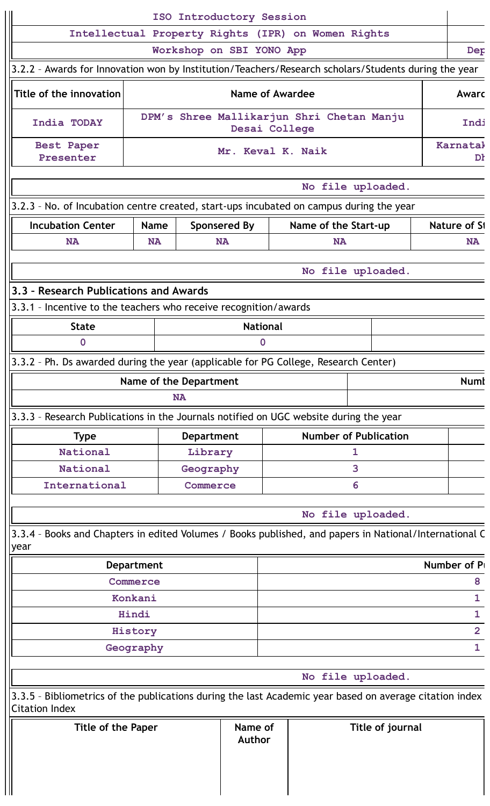| ISO Introductory Session                                                                                                         |  |                                                     |                                                                                                                     |                                      |                                                                                                                                                       |  |                                                                                                                                                                                                                                                                                                                                                                                                                                                                                                                        |                                                                                                                                                                                                                                    |
|----------------------------------------------------------------------------------------------------------------------------------|--|-----------------------------------------------------|---------------------------------------------------------------------------------------------------------------------|--------------------------------------|-------------------------------------------------------------------------------------------------------------------------------------------------------|--|------------------------------------------------------------------------------------------------------------------------------------------------------------------------------------------------------------------------------------------------------------------------------------------------------------------------------------------------------------------------------------------------------------------------------------------------------------------------------------------------------------------------|------------------------------------------------------------------------------------------------------------------------------------------------------------------------------------------------------------------------------------|
|                                                                                                                                  |  |                                                     |                                                                                                                     |                                      |                                                                                                                                                       |  |                                                                                                                                                                                                                                                                                                                                                                                                                                                                                                                        |                                                                                                                                                                                                                                    |
|                                                                                                                                  |  |                                                     |                                                                                                                     |                                      |                                                                                                                                                       |  |                                                                                                                                                                                                                                                                                                                                                                                                                                                                                                                        | Dep                                                                                                                                                                                                                                |
|                                                                                                                                  |  |                                                     |                                                                                                                     |                                      |                                                                                                                                                       |  |                                                                                                                                                                                                                                                                                                                                                                                                                                                                                                                        |                                                                                                                                                                                                                                    |
|                                                                                                                                  |  |                                                     |                                                                                                                     |                                      |                                                                                                                                                       |  |                                                                                                                                                                                                                                                                                                                                                                                                                                                                                                                        | Awarc                                                                                                                                                                                                                              |
|                                                                                                                                  |  |                                                     |                                                                                                                     |                                      |                                                                                                                                                       |  |                                                                                                                                                                                                                                                                                                                                                                                                                                                                                                                        | Indi                                                                                                                                                                                                                               |
|                                                                                                                                  |  |                                                     |                                                                                                                     |                                      |                                                                                                                                                       |  |                                                                                                                                                                                                                                                                                                                                                                                                                                                                                                                        | Karnatal<br>Dł                                                                                                                                                                                                                     |
|                                                                                                                                  |  |                                                     |                                                                                                                     |                                      |                                                                                                                                                       |  |                                                                                                                                                                                                                                                                                                                                                                                                                                                                                                                        |                                                                                                                                                                                                                                    |
|                                                                                                                                  |  |                                                     |                                                                                                                     |                                      |                                                                                                                                                       |  |                                                                                                                                                                                                                                                                                                                                                                                                                                                                                                                        |                                                                                                                                                                                                                                    |
| <b>Name</b>                                                                                                                      |  |                                                     |                                                                                                                     |                                      |                                                                                                                                                       |  |                                                                                                                                                                                                                                                                                                                                                                                                                                                                                                                        | Nature of S1                                                                                                                                                                                                                       |
| <b>NA</b>                                                                                                                        |  |                                                     |                                                                                                                     | <b>NA</b>                            |                                                                                                                                                       |  |                                                                                                                                                                                                                                                                                                                                                                                                                                                                                                                        | <b>NA</b>                                                                                                                                                                                                                          |
|                                                                                                                                  |  |                                                     |                                                                                                                     |                                      |                                                                                                                                                       |  |                                                                                                                                                                                                                                                                                                                                                                                                                                                                                                                        |                                                                                                                                                                                                                                    |
|                                                                                                                                  |  |                                                     |                                                                                                                     |                                      |                                                                                                                                                       |  |                                                                                                                                                                                                                                                                                                                                                                                                                                                                                                                        |                                                                                                                                                                                                                                    |
|                                                                                                                                  |  |                                                     |                                                                                                                     |                                      |                                                                                                                                                       |  |                                                                                                                                                                                                                                                                                                                                                                                                                                                                                                                        |                                                                                                                                                                                                                                    |
|                                                                                                                                  |  |                                                     |                                                                                                                     |                                      |                                                                                                                                                       |  |                                                                                                                                                                                                                                                                                                                                                                                                                                                                                                                        |                                                                                                                                                                                                                                    |
|                                                                                                                                  |  | $\Omega$                                            |                                                                                                                     |                                      |                                                                                                                                                       |  |                                                                                                                                                                                                                                                                                                                                                                                                                                                                                                                        |                                                                                                                                                                                                                                    |
|                                                                                                                                  |  |                                                     |                                                                                                                     |                                      |                                                                                                                                                       |  |                                                                                                                                                                                                                                                                                                                                                                                                                                                                                                                        |                                                                                                                                                                                                                                    |
|                                                                                                                                  |  |                                                     |                                                                                                                     |                                      |                                                                                                                                                       |  |                                                                                                                                                                                                                                                                                                                                                                                                                                                                                                                        | <b>Numl</b>                                                                                                                                                                                                                        |
|                                                                                                                                  |  |                                                     |                                                                                                                     |                                      |                                                                                                                                                       |  |                                                                                                                                                                                                                                                                                                                                                                                                                                                                                                                        |                                                                                                                                                                                                                                    |
|                                                                                                                                  |  |                                                     |                                                                                                                     |                                      |                                                                                                                                                       |  |                                                                                                                                                                                                                                                                                                                                                                                                                                                                                                                        |                                                                                                                                                                                                                                    |
|                                                                                                                                  |  |                                                     |                                                                                                                     |                                      |                                                                                                                                                       |  |                                                                                                                                                                                                                                                                                                                                                                                                                                                                                                                        |                                                                                                                                                                                                                                    |
|                                                                                                                                  |  |                                                     | 1                                                                                                                   |                                      |                                                                                                                                                       |  |                                                                                                                                                                                                                                                                                                                                                                                                                                                                                                                        |                                                                                                                                                                                                                                    |
|                                                                                                                                  |  |                                                     | 3                                                                                                                   |                                      |                                                                                                                                                       |  |                                                                                                                                                                                                                                                                                                                                                                                                                                                                                                                        |                                                                                                                                                                                                                                    |
|                                                                                                                                  |  |                                                     | 6                                                                                                                   |                                      |                                                                                                                                                       |  |                                                                                                                                                                                                                                                                                                                                                                                                                                                                                                                        |                                                                                                                                                                                                                                    |
|                                                                                                                                  |  |                                                     |                                                                                                                     |                                      |                                                                                                                                                       |  |                                                                                                                                                                                                                                                                                                                                                                                                                                                                                                                        |                                                                                                                                                                                                                                    |
|                                                                                                                                  |  |                                                     |                                                                                                                     |                                      |                                                                                                                                                       |  |                                                                                                                                                                                                                                                                                                                                                                                                                                                                                                                        |                                                                                                                                                                                                                                    |
| <b>Department</b>                                                                                                                |  |                                                     |                                                                                                                     |                                      |                                                                                                                                                       |  |                                                                                                                                                                                                                                                                                                                                                                                                                                                                                                                        | Number of P                                                                                                                                                                                                                        |
| Commerce                                                                                                                         |  |                                                     |                                                                                                                     |                                      |                                                                                                                                                       |  |                                                                                                                                                                                                                                                                                                                                                                                                                                                                                                                        | 8                                                                                                                                                                                                                                  |
| Konkani                                                                                                                          |  |                                                     |                                                                                                                     |                                      |                                                                                                                                                       |  |                                                                                                                                                                                                                                                                                                                                                                                                                                                                                                                        | $\mathbf{1}$                                                                                                                                                                                                                       |
| Hindi                                                                                                                            |  |                                                     |                                                                                                                     |                                      |                                                                                                                                                       |  |                                                                                                                                                                                                                                                                                                                                                                                                                                                                                                                        | $\mathbf{1}$                                                                                                                                                                                                                       |
| History                                                                                                                          |  |                                                     |                                                                                                                     |                                      |                                                                                                                                                       |  |                                                                                                                                                                                                                                                                                                                                                                                                                                                                                                                        | $\overline{2}$                                                                                                                                                                                                                     |
| $\mathbf{1}$<br>Geography                                                                                                        |  |                                                     |                                                                                                                     |                                      |                                                                                                                                                       |  |                                                                                                                                                                                                                                                                                                                                                                                                                                                                                                                        |                                                                                                                                                                                                                                    |
|                                                                                                                                  |  |                                                     |                                                                                                                     |                                      |                                                                                                                                                       |  |                                                                                                                                                                                                                                                                                                                                                                                                                                                                                                                        |                                                                                                                                                                                                                                    |
| 3.3.5 - Bibliometrics of the publications during the last Academic year based on average citation index<br><b>Citation Index</b> |  |                                                     |                                                                                                                     |                                      |                                                                                                                                                       |  |                                                                                                                                                                                                                                                                                                                                                                                                                                                                                                                        |                                                                                                                                                                                                                                    |
| <b>Title of the Paper</b>                                                                                                        |  |                                                     |                                                                                                                     |                                      |                                                                                                                                                       |  |                                                                                                                                                                                                                                                                                                                                                                                                                                                                                                                        |                                                                                                                                                                                                                                    |
|                                                                                                                                  |  | 3.3 - Research Publications and Awards<br><b>NA</b> | <b>Sponsered By</b><br><b>NA</b><br>Name of the Department<br><b>Department</b><br>Library<br>Geography<br>Commerce | <b>National</b><br>Name of<br>Author | Workshop on SBI YONO App<br>Name of Awardee<br>Desai College<br>Mr. Keval K. Naik<br>3.3.1 - Incentive to the teachers who receive recognition/awards |  | Intellectual Property Rights (IPR) on Women Rights<br>DPM's Shree Mallikarjun Shri Chetan Manju<br>No file uploaded.<br>3.2.3 - No. of Incubation centre created, start-ups incubated on campus during the year<br>Name of the Start-up<br>No file uploaded.<br>3.3.2 - Ph. Ds awarded during the year (applicable for PG College, Research Center)<br>3.3.3 - Research Publications in the Journals notified on UGC website during the year<br><b>Number of Publication</b><br>No file uploaded.<br>No file uploaded. | 3.2.2 - Awards for Innovation won by Institution/Teachers/Research scholars/Students during the year<br>3.3.4 - Books and Chapters in edited Volumes / Books published, and papers in National/International C<br>Title of journal |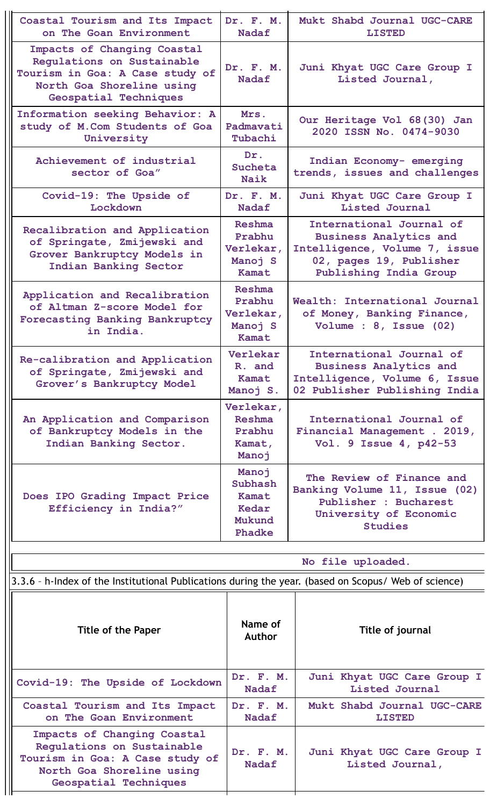| Coastal Tourism and Its Impact<br>on The Goan Environment                                                                                          | Dr. F. M.<br><b>Nadaf</b>                               | Mukt Shabd Journal UGC-CARE<br><b>LISTED</b>                                                                                                    |
|----------------------------------------------------------------------------------------------------------------------------------------------------|---------------------------------------------------------|-------------------------------------------------------------------------------------------------------------------------------------------------|
| Impacts of Changing Coastal<br>Regulations on Sustainable<br>Tourism in Goa: A Case study of<br>North Goa Shoreline using<br>Geospatial Techniques | Dr. F. M.<br><b>Nadaf</b>                               | Juni Khyat UGC Care Group I<br>Listed Journal,                                                                                                  |
| Information seeking Behavior: A<br>study of M.Com Students of Goa<br>University                                                                    | Mrs.<br>Padmavati<br>Tubachi                            | Our Heritage Vol 68(30) Jan<br>2020 ISSN No. 0474-9030                                                                                          |
| Achievement of industrial<br>sector of Goa"                                                                                                        | Dr.<br>Sucheta<br><b>Naik</b>                           | Indian Economy- emerging<br>trends, issues and challenges                                                                                       |
| Covid-19: The Upside of<br>Lockdown                                                                                                                | Dr. F. M.<br><b>Nadaf</b>                               | Juni Khyat UGC Care Group I<br>Listed Journal                                                                                                   |
| Recalibration and Application<br>of Springate, Zmijewski and<br>Grover Bankruptcy Models in<br>Indian Banking Sector                               | Reshma<br>Prabhu<br>Verlekar,<br>Manoj S<br>Kamat       | International Journal of<br><b>Business Analytics and</b><br>Intelligence, Volume 7, issue<br>02, pages 19, Publisher<br>Publishing India Group |
| Application and Recalibration<br>of Altman Z-score Model for<br>Forecasting Banking Bankruptcy<br>in India.                                        | Reshma<br>Prabhu<br>Verlekar,<br>Manoj S<br>Kamat       | Wealth: International Journal<br>of Money, Banking Finance,<br>Volume : 8, Issue (02)                                                           |
| Re-calibration and Application<br>of Springate, Zmijewski and<br>Grover's Bankruptcy Model                                                         | Verlekar<br>R. and<br>Kamat<br>Manoj S.                 | International Journal of<br><b>Business Analytics and</b><br>Intelligence, Volume 6, Issue<br>02 Publisher Publishing India                     |
| An Application and Comparison<br>of Bankruptcy Models in the<br>Indian Banking Sector.                                                             | Verlekar,<br><b>Reshma</b><br>Prabhu<br>Kamat,<br>Manoi | International Journal of<br>Financial Management . 2019,<br>Vol. 9 Issue 4, p42-53                                                              |
| Does IPO Grading Impact Price<br>Efficiency in India?"                                                                                             | Manoj<br>Subhash<br>Kamat<br>Kedar<br>Mukund<br>Phadke  | The Review of Finance and<br>Banking Volume 11, Issue (02)<br>Publisher : Bucharest<br>University of Economic<br><b>Studies</b>                 |
|                                                                                                                                                    |                                                         | No file uploaded.                                                                                                                               |
| 3.3.6 - h-Index of the Institutional Publications during the year. (based on Scopus/ Web of science)                                               |                                                         |                                                                                                                                                 |
| <b>Title of the Paper</b>                                                                                                                          | Name of<br><b>Author</b>                                | Title of journal                                                                                                                                |
| Covid-19: The Upside of Lockdown                                                                                                                   | Dr. F. M.<br><b>Nadaf</b>                               | Juni Khyat UGC Care Group I<br>Listed Journal                                                                                                   |
| Coastal Tourism and Its Impact<br>on The Goan Environment                                                                                          | Dr. F. M.<br>Nadaf                                      | Mukt Shabd Journal UGC-CARE<br><b>LISTED</b>                                                                                                    |
| Impacts of Changing Coastal<br>Regulations on Sustainable<br>Tourism in Goa: A Case study of<br>North Goa Shoreline using<br>Geospatial Techniques | Dr. F. M.<br>Nadaf                                      | Juni Khyat UGC Care Group I<br>Listed Journal,                                                                                                  |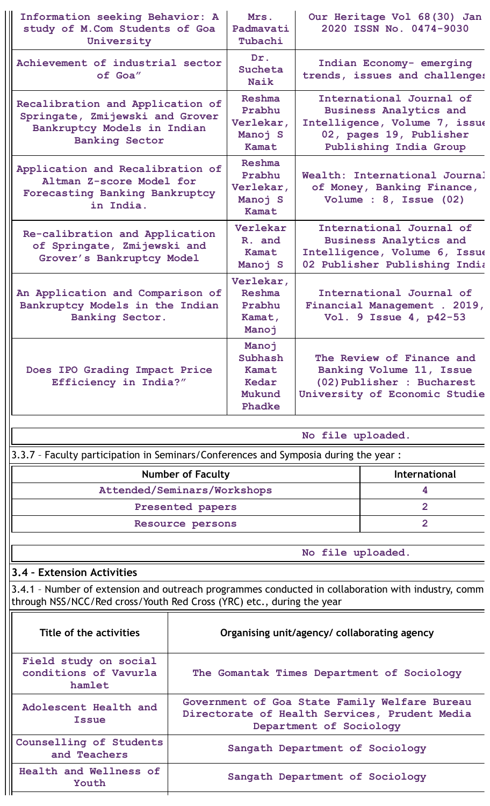| Information seeking Behavior: A<br>study of M.Com Students of Goa<br>University                                                      |                                                                                                                                                                             | Mrs.<br>Padmavati<br>Tubachi                                                       |                                                                                                                      | Our Heritage Vol 68(30) Jan<br>2020 ISSN No. 0474-9030                                                                                          |  |  |
|--------------------------------------------------------------------------------------------------------------------------------------|-----------------------------------------------------------------------------------------------------------------------------------------------------------------------------|------------------------------------------------------------------------------------|----------------------------------------------------------------------------------------------------------------------|-------------------------------------------------------------------------------------------------------------------------------------------------|--|--|
| Achievement of industrial sector<br>of Goa"                                                                                          |                                                                                                                                                                             | Dr.<br>Sucheta<br>Naik                                                             |                                                                                                                      | Indian Economy- emerging<br>trends, issues and challenges                                                                                       |  |  |
| Recalibration and Application of<br>Springate, Zmijewski and Grover<br>Bankruptcy Models in Indian<br><b>Banking Sector</b>          |                                                                                                                                                                             | Reshma<br>Prabhu<br>Verlekar,<br>Manoj S<br>Kamat                                  |                                                                                                                      | International Journal of<br><b>Business Analytics and</b><br>Intelligence, Volume 7, issue<br>02, pages 19, Publisher<br>Publishing India Group |  |  |
| Application and Recalibration of<br>Altman Z-score Model for<br>Forecasting Banking Bankruptcy<br>in India.                          |                                                                                                                                                                             | Reshma<br>Prabhu<br>Verlekar,<br>Manoj S<br>Kamat                                  | Wealth: International Journal<br>of Money, Banking Finance,<br>Volume : 8, Issue (02)                                |                                                                                                                                                 |  |  |
| Verlekar<br>Re-calibration and Application<br>R. and<br>of Springate, Zmijewski and<br>Kamat<br>Grover's Bankruptcy Model<br>Manoj S |                                                                                                                                                                             |                                                                                    |                                                                                                                      | International Journal of<br><b>Business Analytics and</b><br>Intelligence, Volume 6, Issue<br>02 Publisher Publishing India                     |  |  |
| An Application and Comparison of<br>Bankruptcy Models in the Indian<br>Banking Sector.                                               | Verlekar,<br><b>Reshma</b><br>Prabhu<br>Kamat,<br>Manoj                                                                                                                     | International Journal of<br>Financial Management . 2019,<br>Vol. 9 Issue 4, p42-53 |                                                                                                                      |                                                                                                                                                 |  |  |
| Does IPO Grading Impact Price<br>Efficiency in India?"                                                                               |                                                                                                                                                                             | Manoj<br>Subhash<br>Kamat<br>Kedar<br>Mukund<br><b>Phadke</b>                      | The Review of Finance and<br>Banking Volume 11, Issue<br>(02) Publisher : Bucharest<br>University of Economic Studie |                                                                                                                                                 |  |  |
|                                                                                                                                      |                                                                                                                                                                             |                                                                                    | No file uploaded.                                                                                                    |                                                                                                                                                 |  |  |
| 3.3.7 - Faculty participation in Seminars/Conferences and Symposia during the year :                                                 |                                                                                                                                                                             |                                                                                    |                                                                                                                      |                                                                                                                                                 |  |  |
|                                                                                                                                      | <b>Number of Faculty</b>                                                                                                                                                    |                                                                                    |                                                                                                                      | International                                                                                                                                   |  |  |
| Attended/Seminars/Workshops                                                                                                          |                                                                                                                                                                             |                                                                                    |                                                                                                                      | 4                                                                                                                                               |  |  |
|                                                                                                                                      | Presented papers                                                                                                                                                            |                                                                                    |                                                                                                                      | $\overline{2}$                                                                                                                                  |  |  |
|                                                                                                                                      | Resource persons                                                                                                                                                            |                                                                                    |                                                                                                                      | $\overline{2}$                                                                                                                                  |  |  |
| No file uploaded.                                                                                                                    |                                                                                                                                                                             |                                                                                    |                                                                                                                      |                                                                                                                                                 |  |  |
| 3.4 - Extension Activities                                                                                                           |                                                                                                                                                                             |                                                                                    |                                                                                                                      |                                                                                                                                                 |  |  |
|                                                                                                                                      | 3.4.1 - Number of extension and outreach programmes conducted in collaboration with industry, comm<br>through NSS/NCC/Red cross/Youth Red Cross (YRC) etc., during the year |                                                                                    |                                                                                                                      |                                                                                                                                                 |  |  |
| Title of the activities                                                                                                              | Organising unit/agency/ collaborating agency                                                                                                                                |                                                                                    |                                                                                                                      |                                                                                                                                                 |  |  |
| Field study on social<br>conditions of Vavurla<br>hamlet                                                                             | The Gomantak Times Department of Sociology                                                                                                                                  |                                                                                    |                                                                                                                      |                                                                                                                                                 |  |  |
|                                                                                                                                      | Government of Goa State Family Welfare Bureau                                                                                                                               |                                                                                    |                                                                                                                      |                                                                                                                                                 |  |  |

**Directorate of Health Services, Prudent Media Department of Sociology**

**Sangath Department of Sociology**

**Sangath Department of Sociology**

**Adolescent Health and Issue**

**Counselling of Students and Teachers**

**Health and Wellness of Youth**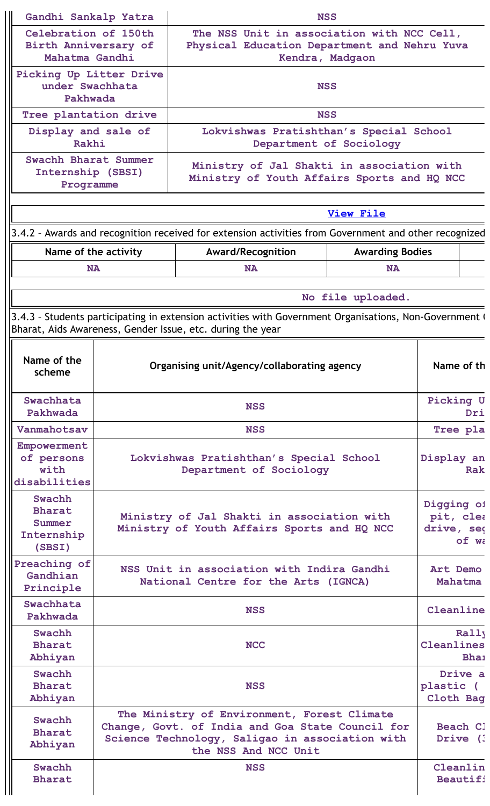| Gandhi Sankalp Yatra<br><b>NSS</b>                             |                                                           |                      |                                                                                                                                                                                                   |                        |                                       |                      |  |
|----------------------------------------------------------------|-----------------------------------------------------------|----------------------|---------------------------------------------------------------------------------------------------------------------------------------------------------------------------------------------------|------------------------|---------------------------------------|----------------------|--|
| Celebration of 150th<br>Birth Anniversary of<br>Mahatma Gandhi |                                                           |                      | The NSS Unit in association with NCC Cell,<br>Physical Education Department and Nehru Yuva<br>Kendra, Madgaon                                                                                     |                        |                                       |                      |  |
|                                                                | Picking Up Litter Drive<br>under Swachhata<br>Pakhwada    |                      | <b>NSS</b>                                                                                                                                                                                        |                        |                                       |                      |  |
|                                                                | Tree plantation drive                                     |                      | <b>NSS</b>                                                                                                                                                                                        |                        |                                       |                      |  |
|                                                                | Display and sale of                                       |                      | Lokvishwas Pratishthan's Special School                                                                                                                                                           |                        |                                       |                      |  |
|                                                                | Rakhi                                                     |                      | Department of Sociology                                                                                                                                                                           |                        |                                       |                      |  |
|                                                                | Swachh Bharat Summer<br>Internship (SBSI)<br>Programme    |                      | Ministry of Jal Shakti in association with<br>Ministry of Youth Affairs Sports and HQ NCC                                                                                                         |                        |                                       |                      |  |
|                                                                |                                                           |                      |                                                                                                                                                                                                   | <b>View File</b>       |                                       |                      |  |
|                                                                |                                                           |                      |                                                                                                                                                                                                   |                        |                                       |                      |  |
|                                                                |                                                           |                      | 3.4.2 - Awards and recognition received for extension activities from Government and other recognized                                                                                             |                        |                                       |                      |  |
|                                                                |                                                           | Name of the activity | Award/Recognition                                                                                                                                                                                 | <b>Awarding Bodies</b> |                                       |                      |  |
|                                                                |                                                           | <b>NA</b>            | <b>NA</b>                                                                                                                                                                                         | <b>NA</b>              |                                       |                      |  |
|                                                                |                                                           |                      |                                                                                                                                                                                                   | No file uploaded.      |                                       |                      |  |
|                                                                |                                                           |                      | 3.4.3 - Students participating in extension activities with Government Organisations, Non-Government (<br>Bharat, Aids Awareness, Gender Issue, etc. during the year                              |                        |                                       |                      |  |
|                                                                | Name of the<br>scheme                                     |                      | Organising unit/Agency/collaborating agency<br>Name of th                                                                                                                                         |                        |                                       |                      |  |
|                                                                | Swachhata<br>Pakhwada                                     |                      | <b>NSS</b>                                                                                                                                                                                        |                        | Picking U                             | Dri                  |  |
|                                                                | Vanmahotsav                                               |                      | <b>NSS</b>                                                                                                                                                                                        |                        | Tree pla                              |                      |  |
|                                                                | Empowerment<br>of persons<br>with<br>disabilities         |                      | Lokvishwas Pratishthan's Special School<br>Department of Sociology                                                                                                                                |                        | Display an                            | Rak                  |  |
|                                                                | Swachh<br><b>Bharat</b><br>Summer<br>Internship<br>(SBSI) |                      | Ministry of Jal Shakti in association with<br>Ministry of Youth Affairs Sports and HQ NCC                                                                                                         |                        | Digging of<br>pit, clea<br>drive, seq | of wa                |  |
|                                                                | Preaching of<br>Gandhian<br>Principle                     |                      | NSS Unit in association with Indira Gandhi<br>National Centre for the Arts (IGNCA)                                                                                                                |                        | Art Demo<br>Mahatma                   |                      |  |
|                                                                | Swachhata<br>Pakhwada                                     |                      | <b>NSS</b>                                                                                                                                                                                        |                        | Cleanline                             |                      |  |
|                                                                | Swachh<br><b>Bharat</b><br>Abhiyan                        |                      | <b>NCC</b>                                                                                                                                                                                        |                        | Cleanlines                            | Rally<br><b>Bhai</b> |  |
|                                                                | Swachh<br><b>Bharat</b><br>Abhiyan                        |                      | Drive a<br>plastic (<br><b>NSS</b><br>Cloth Bag                                                                                                                                                   |                        |                                       |                      |  |
|                                                                | Swachh<br><b>Bharat</b><br>Abhiyan                        |                      | The Ministry of Environment, Forest Climate<br>Change, Govt. of India and Goa State Council for<br>Beach Cl<br>Science Technology, Saligao in association with<br>Drive (<br>the NSS And NCC Unit |                        |                                       |                      |  |
|                                                                | Swachh<br><b>Bharat</b>                                   |                      | <b>NSS</b>                                                                                                                                                                                        |                        |                                       | Cleanlin<br>Beautifi |  |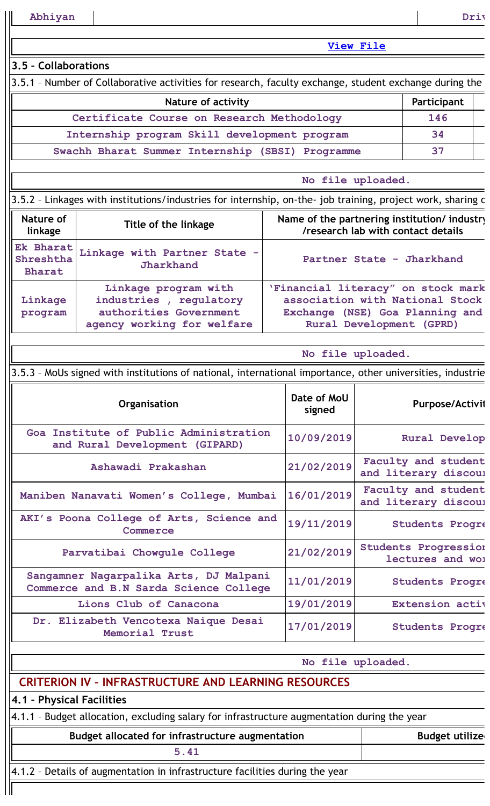**Abhiyan Driv**

**View [File](https://assessmentonline.naac.gov.in/public/Postacc/Students_in_extension/8958_Students_in_extension_1640669837.xlsx)**

**No file uploaded.**

### **3.5 – Collaborations**

3.5.1 - Number of Collaborative activities for research, faculty exchange, student exchange during the

| Nature of activity                               | Participant |
|--------------------------------------------------|-------------|
| Certificate Course on Research Methodology       | 146         |
| Internship program Skill development program     | 34          |
| Swachh Bharat Summer Internship (SBSI) Programme | 37          |

|                                              | No file uploaded.                                                                                           |                                                                                                                                      |  |  |  |  |  |  |
|----------------------------------------------|-------------------------------------------------------------------------------------------------------------|--------------------------------------------------------------------------------------------------------------------------------------|--|--|--|--|--|--|
|                                              | 3.5.2 - Linkages with institutions/industries for internship, on-the- job training, project work, sharing o |                                                                                                                                      |  |  |  |  |  |  |
| Nature of<br>Title of the linkage<br>linkage |                                                                                                             | Name of the partnering institution/ industry<br>/research lab with contact details                                                   |  |  |  |  |  |  |
| Ek Bharat<br>Shreshtha<br><b>Bharat</b>      | Linkage with Partner State -<br>Jharkhand                                                                   | Partner State - Jharkhand                                                                                                            |  |  |  |  |  |  |
| Linkage<br>program                           | Linkage program with<br>industries, regulatory<br>authorities Government<br>agency working for welfare      | 'Financial literacy" on stock mark<br>association with National Stock<br>Exchange (NSE) Goa Planning and<br>Rural Development (GPRD) |  |  |  |  |  |  |

| 3.5.3 - MoUs signed with institutions of national, international importance, other universities, industrie |  |  |  |  |
|------------------------------------------------------------------------------------------------------------|--|--|--|--|
|                                                                                                            |  |  |  |  |
|                                                                                                            |  |  |  |  |

| Organisation                                                                     | Date of MoU<br>signed | <b>Purpose/Activit</b>                          |
|----------------------------------------------------------------------------------|-----------------------|-------------------------------------------------|
| Goa Institute of Public Administration<br>and Rural Development (GIPARD)         | 10/09/2019            | <b>Rural Develop</b>                            |
| Ashawadi Prakashan                                                               | 21/02/2019            | Faculty and student<br>and literary discoul     |
| Maniben Nanavati Women's College, Mumbai                                         | 16/01/2019            | Faculty and student<br>and literary discoul     |
| AKI's Poona College of Arts, Science and<br>Commerce                             | 19/11/2019            | <b>Students Progre</b>                          |
| Parvatibai Chowqule College                                                      | 21/02/2019            | <b>Students Progression</b><br>lectures and wor |
| Sangamner Nagarpalika Arts, DJ Malpani<br>Commerce and B.N Sarda Science College | 11/01/2019            | <b>Students Progre</b>                          |
| Lions Club of Canacona                                                           | 19/01/2019            | <b>Extension activ</b>                          |
| Dr. Elizabeth Vencotexa Naique Desai<br>Memorial Trust                           | 17/01/2019            | <b>Students Progre</b>                          |

**No file uploaded.**

## **CRITERION IV – INFRASTRUCTURE AND LEARNING RESOURCES**

**4.1 – Physical Facilities**

|  |  |  |  | 4.1.1 - Budget allocation, excluding salary for infrastructure augmentation during the year |  |
|--|--|--|--|---------------------------------------------------------------------------------------------|--|
|--|--|--|--|---------------------------------------------------------------------------------------------|--|

**Budget allocated for infrastructure augmentation Theory Budget utilized** 

4.1.2 – Details of augmentation in infrastructure facilities during the year

**5.41**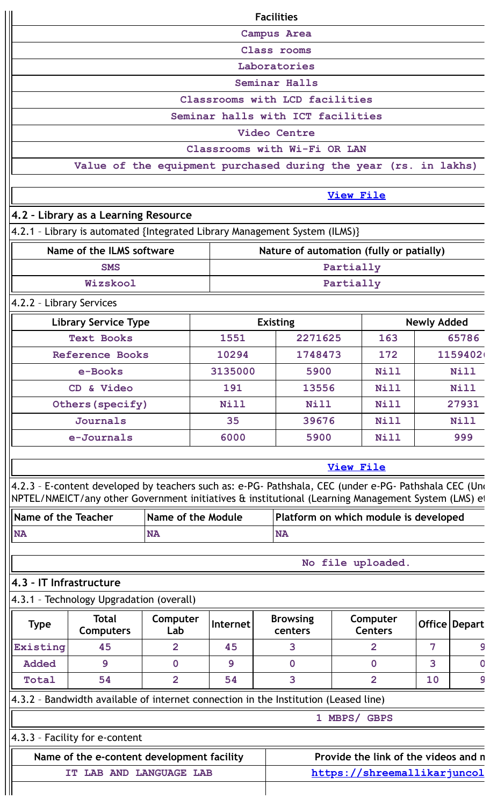|                                                                      |                                                                                                                                                                                                             |                           |  |                |  | <b>Facilities</b>                     |                  |                                      |                |                 |
|----------------------------------------------------------------------|-------------------------------------------------------------------------------------------------------------------------------------------------------------------------------------------------------------|---------------------------|--|----------------|--|---------------------------------------|------------------|--------------------------------------|----------------|-----------------|
|                                                                      |                                                                                                                                                                                                             |                           |  |                |  | <b>Campus Area</b>                    |                  |                                      |                |                 |
|                                                                      |                                                                                                                                                                                                             |                           |  |                |  | Class rooms                           |                  |                                      |                |                 |
|                                                                      |                                                                                                                                                                                                             |                           |  |                |  | Laboratories                          |                  |                                      |                |                 |
|                                                                      |                                                                                                                                                                                                             |                           |  |                |  | Seminar Halls                         |                  |                                      |                |                 |
|                                                                      | Classrooms with LCD facilities                                                                                                                                                                              |                           |  |                |  |                                       |                  |                                      |                |                 |
|                                                                      |                                                                                                                                                                                                             |                           |  |                |  | Seminar halls with ICT facilities     |                  |                                      |                |                 |
|                                                                      |                                                                                                                                                                                                             |                           |  |                |  | Video Centre                          |                  |                                      |                |                 |
|                                                                      |                                                                                                                                                                                                             |                           |  |                |  | Classrooms with Wi-Fi OR LAN          |                  |                                      |                |                 |
|                                                                      | Value of the equipment purchased during the year (rs. in lakhs)                                                                                                                                             |                           |  |                |  |                                       |                  |                                      |                |                 |
|                                                                      |                                                                                                                                                                                                             |                           |  |                |  |                                       | <b>View File</b> |                                      |                |                 |
|                                                                      | 4.2 - Library as a Learning Resource                                                                                                                                                                        |                           |  |                |  |                                       |                  |                                      |                |                 |
|                                                                      | 4.2.1 - Library is automated {Integrated Library Management System (ILMS)}                                                                                                                                  |                           |  |                |  |                                       |                  |                                      |                |                 |
|                                                                      | Name of the ILMS software                                                                                                                                                                                   |                           |  |                |  |                                       |                  |                                      |                |                 |
|                                                                      | Nature of automation (fully or patially)<br>Partially<br><b>SMS</b>                                                                                                                                         |                           |  |                |  |                                       |                  |                                      |                |                 |
|                                                                      | Wizskool                                                                                                                                                                                                    |                           |  |                |  |                                       | Partially        |                                      |                |                 |
| 4.2.2 - Library Services                                             |                                                                                                                                                                                                             |                           |  |                |  |                                       |                  |                                      |                |                 |
| <b>Library Service Type</b><br><b>Existing</b><br><b>Newly Added</b> |                                                                                                                                                                                                             |                           |  |                |  |                                       |                  |                                      |                |                 |
|                                                                      | <b>Text Books</b>                                                                                                                                                                                           |                           |  | 1551           |  | 2271625                               |                  | 163                                  |                | 65786           |
|                                                                      | Reference Books                                                                                                                                                                                             |                           |  | 10294          |  | 1748473                               |                  | 172                                  |                | 1159402         |
|                                                                      | e-Books                                                                                                                                                                                                     |                           |  | 3135000        |  | 5900                                  |                  | Nill                                 |                | <b>Nill</b>     |
|                                                                      | CD & Video                                                                                                                                                                                                  |                           |  | 191            |  | 13556                                 |                  | Nill                                 |                | Nill            |
|                                                                      | Others (specify)                                                                                                                                                                                            |                           |  | <b>Nill</b>    |  | Nill                                  |                  | Nill                                 |                | 27931           |
|                                                                      | <b>Journals</b>                                                                                                                                                                                             |                           |  | 35             |  | 39676                                 |                  | Nill                                 |                | Nill            |
|                                                                      | e-Journals                                                                                                                                                                                                  |                           |  | 6000           |  | 5900                                  |                  | <b>Nill</b>                          |                | 999             |
|                                                                      |                                                                                                                                                                                                             |                           |  |                |  |                                       |                  |                                      |                |                 |
|                                                                      |                                                                                                                                                                                                             |                           |  |                |  |                                       | <b>View File</b> |                                      |                |                 |
|                                                                      | 4.2.3 - E-content developed by teachers such as: e-PG- Pathshala, CEC (under e-PG- Pathshala CEC (Uno<br>NPTEL/NMEICT/any other Government initiatives & institutional (Learning Management System (LMS) et |                           |  |                |  |                                       |                  |                                      |                |                 |
| <b>Name of the Teacher</b>                                           |                                                                                                                                                                                                             | <b>Name of the Module</b> |  |                |  | Platform on which module is developed |                  |                                      |                |                 |
| <b>NA</b>                                                            |                                                                                                                                                                                                             | <b>NA</b>                 |  |                |  | <b>NA</b>                             |                  |                                      |                |                 |
|                                                                      |                                                                                                                                                                                                             |                           |  |                |  |                                       |                  |                                      |                |                 |
|                                                                      |                                                                                                                                                                                                             |                           |  |                |  |                                       |                  | No file uploaded.                    |                |                 |
| 4.3 - IT Infrastructure                                              |                                                                                                                                                                                                             |                           |  |                |  |                                       |                  |                                      |                |                 |
|                                                                      | 4.3.1 - Technology Upgradation (overall)                                                                                                                                                                    |                           |  |                |  |                                       |                  |                                      |                |                 |
| <b>Type</b>                                                          | <b>Total</b><br><b>Computers</b>                                                                                                                                                                            | Computer<br>Lab           |  | Internet       |  | <b>Browsing</b><br>centers            |                  | Computer<br><b>Centers</b>           |                | Office   Depart |
| Existing                                                             | 45                                                                                                                                                                                                          | $\overline{2}$            |  | 45             |  | 3                                     |                  | $\overline{2}$                       | $\overline{7}$ | 9               |
| <b>Added</b>                                                         | $\mathbf{9}$                                                                                                                                                                                                | 0                         |  | $\overline{9}$ |  | $\mathbf 0$                           |                  | $\mathbf 0$                          | 3              | $\Omega$        |
| Total                                                                | 54                                                                                                                                                                                                          | $\overline{2}$            |  | 54             |  | 3                                     |                  | $\overline{2}$                       | 10             | 9               |
|                                                                      | 4.3.2 - Bandwidth available of internet connection in the Institution (Leased line)                                                                                                                         |                           |  |                |  |                                       |                  |                                      |                |                 |
|                                                                      |                                                                                                                                                                                                             |                           |  |                |  |                                       |                  | 1 MBPS/ GBPS                         |                |                 |
|                                                                      | 4.3.3 - Facility for e-content                                                                                                                                                                              |                           |  |                |  |                                       |                  |                                      |                |                 |
|                                                                      | Name of the e-content development facility                                                                                                                                                                  |                           |  |                |  |                                       |                  | Provide the link of the videos and n |                |                 |
|                                                                      | IT LAB AND LANGUAGE LAB                                                                                                                                                                                     |                           |  |                |  |                                       |                  | https://shreemallikarjuncol          |                |                 |
|                                                                      |                                                                                                                                                                                                             |                           |  |                |  |                                       |                  |                                      |                |                 |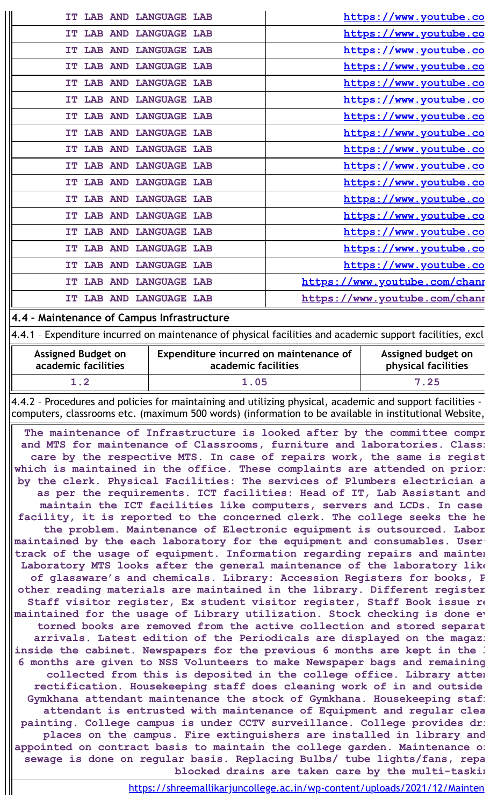| IT LAB AND LANGUAGE LAB                      | https://www.youtube.co        |
|----------------------------------------------|-------------------------------|
| <b>LAB AND LANGUAGE LAB</b><br>IT.           | https://www.youtube.co        |
| IT LAB AND LANGUAGE LAB                      | https://www.youtube.co        |
| IT LAB AND LANGUAGE LAB                      | https://www.youtube.co        |
| LAB AND LANGUAGE LAB<br>IT.                  | https://www.youtube.co        |
| <b>LANGUAGE LAB</b><br><b>LAB AND</b><br>IT. | https://www.youtube.co        |
| LAB AND LANGUAGE LAB<br>IT.                  | https://www.youtube.co        |
| IT LAB AND LANGUAGE LAB                      | https://www.youtube.co        |
| LAB AND LANGUAGE LAB<br>IT                   | https://www.youtube.co        |
| LAB AND LANGUAGE LAB<br>TТ                   | https://www.youtube.co        |
| <b>LAB AND LANGUAGE LAB</b><br>IT            | https://www.youtube.co        |
| IT LAB AND LANGUAGE LAB                      | https://www.youtube.co        |
| IT LAB AND LANGUAGE LAB                      | https://www.youtube.co        |
| IT LAB AND LANGUAGE LAB                      | https://www.youtube.co        |
| <b>LAB AND</b><br><b>LANGUAGE LAB</b><br>IT. | https://www.youtube.co        |
| <b>LANGUAGE LAB</b><br><b>LAB AND</b><br>IT  | https://www.youtube.co        |
| <b>LAB AND</b><br><b>LANGUAGE LAB</b><br>IT. | https://www.youtube.com/chanr |
| <b>LAB AND LANGUAGE LAB</b><br>IT.           | https://www.youtube.com/chanr |
|                                              |                               |

### **4.4 – Maintenance of Campus Infrastructure**

4.4.1 – Expenditure incurred on maintenance of physical facilities and academic support facilities, excl

| <b>Assigned Budget on</b> | Expenditure incurred on maintenance of | Assigned budget on  |
|---------------------------|----------------------------------------|---------------------|
| academic facilities       | academic facilities                    | physical facilities |
| $\mathbf 1$ . $\mathbf 2$ | 1.05                                   | 7.25                |

4.4.2 – Procedures and policies for maintaining and utilizing physical, academic and support facilities computers, classrooms etc. (maximum 500 words) (information to be available in institutional Website,

**The maintenance of Infrastructure is looked after by the committee compr and MTS for maintenance of Classrooms, furniture and laboratories. Classr care by the respective MTS. In case of repairs work, the same is regist which is maintained in the office. These complaints are attended on priori by the clerk. Physical Facilities: The services of Plumbers electrician a as per the requirements. ICT facilities: Head of IT, Lab Assistant and maintain the ICT facilities like computers, servers and LCDs. In case facility, it is reported to the concerned clerk. The college seeks the he the problem. Maintenance of Electronic equipment is outsourced. Labor maintained by the each laboratory for the equipment and consumables. User' track of the usage of equipment. Information regarding repairs and mainten Laboratory MTS looks after the general maintenance of the laboratory like of glassware's and chemicals. Library: Accession Registers for books, P other reading materials are maintained in the library. Different register Staff visitor register, Ex student visitor register, Staff Book issue re maintained for the usage of Library utilization. Stock checking is done ev torned books are removed from the active collection and stored separat arrivals. Latest edition of the Periodicals are displayed on the magazi inside the cabinet. Newspapers for the previous 6 months are kept in the l 6 months are given to NSS Volunteers to make Newspaper bags and remaining collected from this is deposited in the college office. Library atten rectification. Housekeeping staff does cleaning work of in and outside Gymkhana attendant maintenance the stock of Gymkhana. Housekeeping staff attendant is entrusted with maintenance of Equipment and regular clea painting. College campus is under CCTV surveillance. College provides dri places on the campus. Fire extinguishers are installed in library and appointed on contract basis to maintain the college garden. Maintenance of sewage is done on regular basis. Replacing Bulbs/ tube lights/fans, repa blocked drains are taken care by the multi-taskin**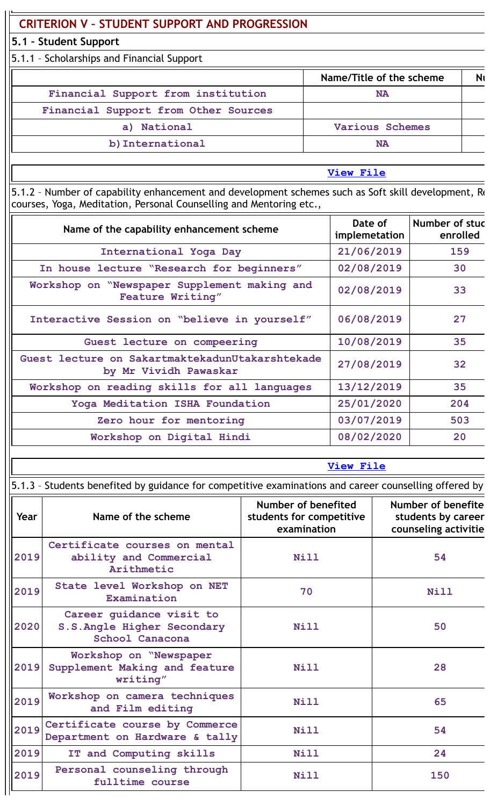# **CRITERION V – STUDENT SUPPORT AND PROGRESSION**

## **5.1 – Student Support**

5.1.1 – Scholarships and Financial Support

|                                      | Name/Title of the scheme |  |
|--------------------------------------|--------------------------|--|
| Financial Support from institution   | NA                       |  |
| Financial Support from Other Sources |                          |  |
| a) National                          | Various Schemes          |  |
| b) International                     | NA                       |  |
|                                      |                          |  |

**View [File](https://assessmentonline.naac.gov.in/public/Postacc/Scholarships/8958_Scholarships_1648715748.xls)**

5.1.2 - Number of capability enhancement and development schemes such as Soft skill development, Re courses, Yoga, Meditation, Personal Counselling and Mentoring etc.,

| Name of the capability enhancement scheme                                | Date of<br>implemetation | Number of stud<br>enrolled |
|--------------------------------------------------------------------------|--------------------------|----------------------------|
| International Yoga Day                                                   | 21/06/2019               | 159                        |
| In house lecture "Research for beginners"                                | 02/08/2019               | 30                         |
| Workshop on "Newspaper Supplement making and<br><b>Feature Writing"</b>  | 02/08/2019               | 33                         |
| Interactive Session on "believe in yourself"                             | 06/08/2019               | 27                         |
| Guest lecture on compeering                                              | 10/08/2019               | 35                         |
| Guest lecture on SakartmaktekadunUtakarshtekade<br>by Mr Vividh Pawaskar | 27/08/2019               | 32                         |
| Workshop on reading skills for all languages                             | 13/12/2019               | 35                         |
| Yoga Meditation ISHA Foundation                                          | 25/01/2020               | 204                        |
| Zero hour for mentoring                                                  | 03/07/2019               | 503                        |
| Workshop on Digital Hindi                                                | 08/02/2020               | 20                         |

**View [File](https://assessmentonline.naac.gov.in/public/Postacc/Development_Schemes/8958_Development_Schemes_1640165488.xlsx)**

|      | 5.1.3 - Students benefited by guidance for competitive examinations and career counselling offered by |                                                                |                                                                         |
|------|-------------------------------------------------------------------------------------------------------|----------------------------------------------------------------|-------------------------------------------------------------------------|
| Year | Name of the scheme                                                                                    | Number of benefited<br>students for competitive<br>examination | <b>Number of benefite</b><br>students by career<br>counseling activitie |
| 2019 | Certificate courses on mental<br>ability and Commercial<br>Arithmetic                                 | Nill                                                           | 54                                                                      |
| 2019 | State level Workshop on NET<br>Examination                                                            | 70                                                             | Nill                                                                    |
| 2020 | Career guidance visit to<br>S.S.Angle Higher Secondary<br>School Canacona                             | Nill                                                           | 50                                                                      |
| 2019 | Workshop on "Newspaper<br>Supplement Making and feature<br>writing"                                   | Nill                                                           | 28                                                                      |
| 2019 | Workshop on camera techniques<br>and Film editing                                                     | Nill                                                           | 65                                                                      |
| 2019 | Certificate course by Commerce<br>Department on Hardware & tally                                      | Nill                                                           | 54                                                                      |
| 2019 | IT and Computing skills                                                                               | <b>Nill</b>                                                    | 24                                                                      |
| 2019 | Personal counseling through<br>fulltime course                                                        | Nill                                                           | 150                                                                     |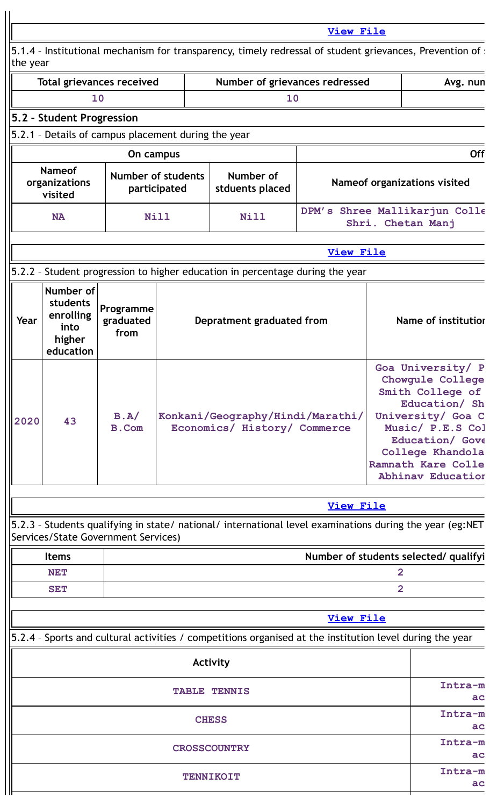|          |                                                                   |                                                     |                                           |                                                                                                           | <b>View File</b> |                                                                                                                                                                                                              |
|----------|-------------------------------------------------------------------|-----------------------------------------------------|-------------------------------------------|-----------------------------------------------------------------------------------------------------------|------------------|--------------------------------------------------------------------------------------------------------------------------------------------------------------------------------------------------------------|
|          |                                                                   |                                                     |                                           | 5.1.4 - Institutional mechanism for transparency, timely redressal of student grievances, Prevention of s |                  |                                                                                                                                                                                                              |
| the year |                                                                   | <b>Total grievances received</b>                    |                                           | Number of grievances redressed                                                                            |                  | Avg. nun                                                                                                                                                                                                     |
|          |                                                                   | 10                                                  |                                           | 10                                                                                                        |                  |                                                                                                                                                                                                              |
|          | 5.2 - Student Progression                                         |                                                     |                                           |                                                                                                           |                  |                                                                                                                                                                                                              |
|          |                                                                   | 5.2.1 - Details of campus placement during the year |                                           |                                                                                                           |                  |                                                                                                                                                                                                              |
|          |                                                                   | On campus                                           |                                           |                                                                                                           |                  | <b>Off</b>                                                                                                                                                                                                   |
|          | <b>Nameof</b><br>organizations<br>visited                         |                                                     | <b>Number of students</b><br>participated | Number of<br>stduents placed                                                                              |                  | Nameof organizations visited                                                                                                                                                                                 |
|          | <b>NA</b>                                                         |                                                     | <b>Nill</b>                               | Nill                                                                                                      |                  | DPM's Shree Mallikarjun Colle<br>Shri. Chetan Manj                                                                                                                                                           |
|          |                                                                   |                                                     |                                           |                                                                                                           | <b>View File</b> |                                                                                                                                                                                                              |
|          |                                                                   |                                                     |                                           | 5.2.2 - Student progression to higher education in percentage during the year                             |                  |                                                                                                                                                                                                              |
| Year     | Number of<br>students<br>enrolling<br>into<br>higher<br>education | Programme<br>graduated<br>from                      |                                           | Depratment graduated from                                                                                 |                  | Name of institutior                                                                                                                                                                                          |
| 2020     | 43                                                                | B.A/<br><b>B.Com</b>                                |                                           | Konkani/Geography/Hindi/Marathi/<br>Economics/ History/ Commerce                                          |                  | Goa University/ P<br>Chowgule College<br>Smith College of<br>Education/ Sh<br>University/ Goa C<br>Music/ P.E.S Col<br>Education/ Gove<br>College Khandola<br>Ramnath Kare Colle<br><b>Abhinav Education</b> |
|          |                                                                   |                                                     |                                           |                                                                                                           | <b>View File</b> |                                                                                                                                                                                                              |
|          |                                                                   | Services/State Government Services)                 |                                           | 5.2.3 - Students qualifying in state/ national/ international level examinations during the year (eg:NET  |                  |                                                                                                                                                                                                              |
|          | <b>Items</b>                                                      |                                                     |                                           |                                                                                                           |                  | Number of students selected/ qualifyi                                                                                                                                                                        |
|          | <b>NET</b>                                                        |                                                     |                                           |                                                                                                           |                  | $\overline{2}$                                                                                                                                                                                               |
|          | <b>SET</b>                                                        |                                                     |                                           |                                                                                                           |                  | $\overline{2}$                                                                                                                                                                                               |
|          |                                                                   |                                                     |                                           |                                                                                                           | <b>View File</b> |                                                                                                                                                                                                              |
|          |                                                                   |                                                     |                                           | 5.2.4 - Sports and cultural activities / competitions organised at the institution level during the year  |                  |                                                                                                                                                                                                              |
|          |                                                                   |                                                     |                                           | Activity                                                                                                  |                  |                                                                                                                                                                                                              |
|          |                                                                   |                                                     |                                           | <b>TABLE TENNIS</b>                                                                                       |                  | Intra-m<br>ac                                                                                                                                                                                                |
|          |                                                                   |                                                     |                                           | <b>CHESS</b>                                                                                              |                  | Intra-m<br>ac                                                                                                                                                                                                |
|          |                                                                   |                                                     |                                           | <b>CROSSCOUNTRY</b>                                                                                       |                  | Intra-m<br>ac                                                                                                                                                                                                |
|          |                                                                   |                                                     |                                           | <b>TENNIKOIT</b>                                                                                          |                  | Intra-m<br>ac                                                                                                                                                                                                |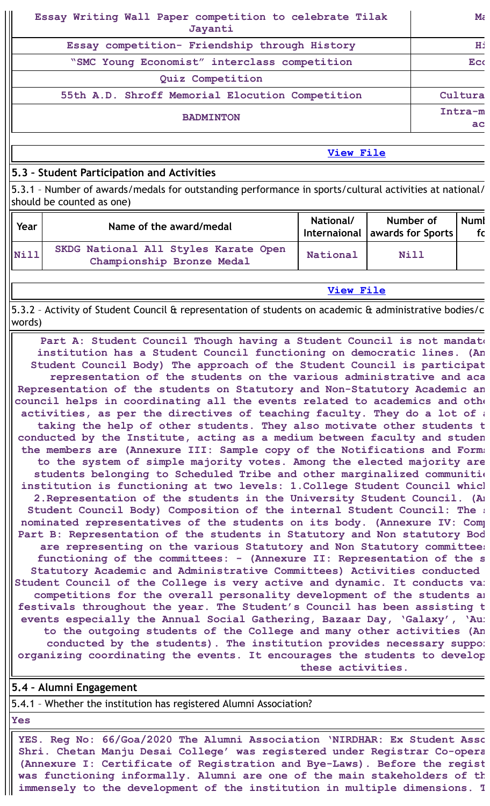| Essay Writing Wall Paper competition to celebrate Tilak<br>Jayanti | $\mathbf{M}$ $\epsilon$ |
|--------------------------------------------------------------------|-------------------------|
| Essay competition- Friendship through History                      | Ηi                      |
| "SMC Young Economist" interclass competition                       | <b>Eco</b>              |
| Quiz Competition                                                   |                         |
| 55th A.D. Shroff Memorial Elocution Competition                    | Cultura                 |
| <b>BADMINTON</b>                                                   | Intra-m<br>ac           |

**View [File](https://assessmentonline.naac.gov.in/public/Postacc/Activities_Organised/8958_Activities_Organised_1640165992.xlsx)**

## **5.3 – Student Participation and Activities**

5.3.1 – Number of awards/medals for outstanding performance in sports/cultural activities at national/ should be counted as one)

| Year | Name of the award/medal                                           | National/ | Number of<br>Internaional awards for Sports | Numl<br>fc |
|------|-------------------------------------------------------------------|-----------|---------------------------------------------|------------|
| Nil  | SKDG National All Styles Karate Open<br>Championship Bronze Medal | National  | Nill                                        |            |

**View [File](https://assessmentonline.naac.gov.in/public/Postacc/awards_in_activities/8958_awards_in_activities_1639615266.xlsx)**

5.3.2 – Activity of Student Council & representation of students on academic & administrative bodies/c words)

**Part A: Student Council Though having a Student Council is not mandato institution has a Student Council functioning on democratic lines. (An Student Council Body) The approach of the Student Council is participat representation of the students on the various administrative and aca Representation of the students on Statutory and Non-Statutory Academic an council helps in coordinating all the events related to academics and othe activities, as per the directives of teaching faculty. They do a lot of a taking the help of other students. They also motivate other students t conducted by the Institute, acting as a medium between faculty and studen the members are (Annexure III: Sample copy of the Notifications and Forms to the system of simple majority votes. Among the elected majority are students belonging to Scheduled Tribe and other marginalized communitie institution is functioning at two levels: 1.College Student Council which 2.Representation of the students in the University Student Council. (An Student Council Body) Composition of the internal Student Council: The s nominated representatives of the students on its body. (Annexure IV: Comp Part B: Representation of the students in Statutory and Non statutory Bod are representing on the various Statutory and Non Statutory committees functioning of the committees: - (Annexure II: Representation of the s Statutory Academic and Administrative Committees) Activities conducted Student Council of the College is very active and dynamic. It conducts var competitions for the overall personality development of the students an festivals throughout the year. The Student's Council has been assisting t events especially the Annual Social Gathering, Bazaar Day, 'Galaxy', 'Aur to the outgoing students of the College and many other activities (An conducted by the students). The institution provides necessary suppor organizing coordinating the events. It encourages the students to develop these activities.**

### **5.4 – Alumni Engagement**

5.4.1 – Whether the institution has registered Alumni Association?

**Yes**

**YES. Reg No: 66/Goa/2020 The Alumni Association 'NIRDHAR: Ex Student Asso Shri. Chetan Manju Desai College' was registered under Registrar Co-opera (Annexure I: Certificate of Registration and Bye-Laws). Before the regist was functioning informally. Alumni are one of the main stakeholders of th immensely to the development of the institution in multiple dimensions. T**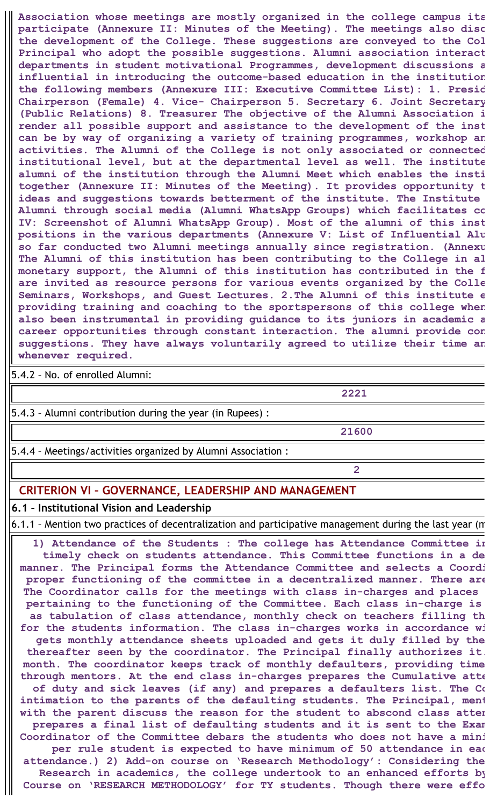**Association whose meetings are mostly organized in the college campus its participate (Annexure II: Minutes of the Meeting). The meetings also disc the development of the College. These suggestions are conveyed to the Col Principal who adopt the possible suggestions. Alumni association interact departments in student motivational Programmes, development discussions a influential in introducing the outcome-based education in the institution the following members (Annexure III: Executive Committee List): 1. Presid Chairperson (Female) 4. Vice- Chairperson 5. Secretary 6. Joint Secretary (Public Relations) 8. Treasurer The objective of the Alumni Association i render all possible support and assistance to the development of the inst can be by way of organizing a variety of training programmes, workshop an activities. The Alumni of the College is not only associated or connected institutional level, but at the departmental level as well. The institute alumni of the institution through the Alumni Meet which enables the insti together (Annexure II: Minutes of the Meeting). It provides opportunity t ideas and suggestions towards betterment of the institute. The Institute Alumni through social media (Alumni WhatsApp Groups) which facilitates co IV: Screenshot of Alumni WhatsApp Group). Most of the alumni of this inst positions in the various departments (Annexure V: List of Influential Alu so far conducted two Alumni meetings annually since registration. (Annexu The Alumni of this institution has been contributing to the College in al monetary support, the Alumni of this institution has contributed in the f are invited as resource persons for various events organized by the Colle Seminars, Workshops, and Guest Lectures. 2.The Alumni of this institute e providing training and coaching to the sportspersons of this college when also been instrumental in providing guidance to its juniors in academic a career opportunities through constant interaction. The alumni provide con suggestions. They have always voluntarily agreed to utilize their time an whenever required.**

5.4.2 – No. of enrolled Alumni:

**2221**

5.4.3 – Alumni contribution during the year (in Rupees) :

**21600**

**2**

5.4.4 – Meetings/activities organized by Alumni Association :

## **CRITERION VI – GOVERNANCE, LEADERSHIP AND MANAGEMENT**

### **6.1 – Institutional Vision and Leadership**

6.1.1 – Mention two practices of decentralization and participative management during the last year (m

**1) Attendance of the Students : The college has Attendance Committee in timely check on students attendance. This Committee functions in a de manner. The Principal forms the Attendance Committee and selects a Coordi proper functioning of the committee in a decentralized manner. There are The Coordinator calls for the meetings with class in-charges and places pertaining to the functioning of the Committee. Each class in-charge is as tabulation of class attendance, monthly check on teachers filling th for the students information. The class in-charges works in accordance wi gets monthly attendance sheets uploaded and gets it duly filled by the thereafter seen by the coordinator. The Principal finally authorizes it. month. The coordinator keeps track of monthly defaulters, providing time through mentors. At the end class in-charges prepares the Cumulative atte of duty and sick leaves (if any) and prepares a defaulters list. The Co intimation to the parents of the defaulting students. The Principal, ment with the parent discuss the reason for the student to abscond class atten prepares a final list of defaulting students and it is sent to the Exam Coordinator of the Committee debars the students who does not have a mini per rule student is expected to have minimum of 50 attendance in eac attendance.) 2) Add-on course on 'Research Methodology': Considering the Research in academics, the college undertook to an enhanced efforts by Course on 'RESEARCH METHODOLOGY' for TY students. Though there were effo**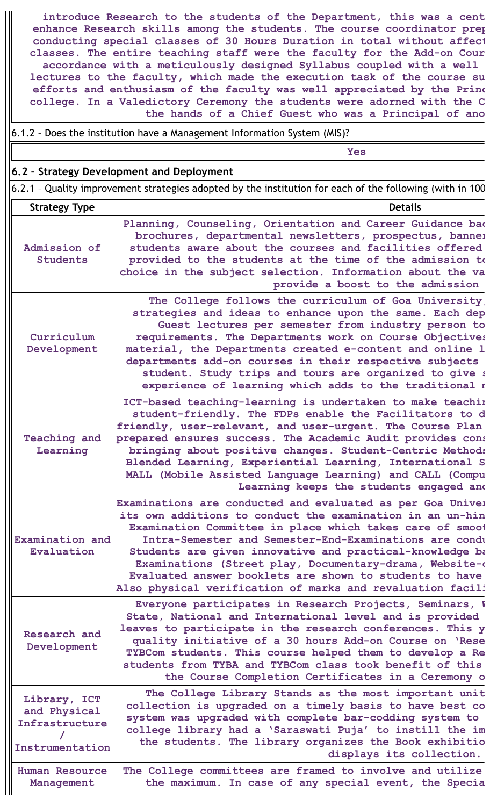**introduce Research to the students of the Department, this was a cent enhance Research skills among the students. The course coordinator prep conducting special classes of 30 Hours Duration in total without affect classes. The entire teaching staff were the faculty for the Add-on Cour accordance with a meticulously designed Syllabus coupled with a well lectures to the faculty, which made the execution task of the course su efforts and enthusiasm of the faculty was well appreciated by the Princ college. In a Valedictory Ceremony the students were adorned with the C the hands of a Chief Guest who was a Principal of ano**

6.1.2 – Does the institution have a Management Information System (MIS)?

**Yes**

### **6.2 – Strategy Development and Deployment**

6.2.1 – Quality improvement strategies adopted by the institution for each of the following (with in 100

| <b>Strategy Type</b>                                              | <b>Details</b>                                                                                                                                                                                                                                                                                                                                                                                                                                                                                |
|-------------------------------------------------------------------|-----------------------------------------------------------------------------------------------------------------------------------------------------------------------------------------------------------------------------------------------------------------------------------------------------------------------------------------------------------------------------------------------------------------------------------------------------------------------------------------------|
| Admission of<br><b>Students</b>                                   | Planning, Counseling, Orientation and Career Guidance bad<br>brochures, departmental newsletters, prospectus, bannel<br>students aware about the courses and facilities offered<br>provided to the students at the time of the admission to<br>choice in the subject selection. Information about the va<br>provide a boost to the admission                                                                                                                                                  |
| Curriculum<br>Development                                         | The College follows the curriculum of Goa University<br>strategies and ideas to enhance upon the same. Each dep<br>Guest lectures per semester from industry person to<br>requirements. The Departments work on Course Objectives<br>material, the Departments created e-content and online 1<br>departments add-on courses in their respective subjects<br>student. Study trips and tours are organized to give :<br>experience of learning which adds to the traditional r                  |
| <b>Teaching and</b><br>Learning                                   | ICT-based teaching-learning is undertaken to make teachin<br>student-friendly. The FDPs enable the Facilitators to d<br>friendly, user-relevant, and user-urgent. The Course Plan<br>prepared ensures success. The Academic Audit provides cons<br>bringing about positive changes. Student-Centric Methods<br>Blended Learning, Experiential Learning, International S<br>MALL (Mobile Assisted Language Learning) and CALL (Compu<br>Learning keeps the students engaged and                |
| Examination and<br>Evaluation                                     | Examinations are conducted and evaluated as per Goa Univer<br>its own additions to conduct the examination in an un-hin<br>Examination Committee in place which takes care of smoot<br>Intra-Semester and Semester-End-Examinations are condu<br>Students are given innovative and practical-knowledge ba<br>Examinations (Street play, Documentary-drama, Website-a<br>Evaluated answer booklets are shown to students to have<br>Also physical verification of marks and revaluation facil: |
| Research and<br>Development                                       | Everyone participates in Research Projects, Seminars, V<br>State, National and International level and is provided<br>leaves to participate in the research conferences. This y<br>quality initiative of a 30 hours Add-on Course on 'Rese<br>TYBCom students. This course helped them to develop a Re<br>students from TYBA and TYBCom class took benefit of this<br>the Course Completion Certificates in a Ceremony o                                                                      |
| Library, ICT<br>and Physical<br>Infrastructure<br>Instrumentation | The College Library Stands as the most important unit<br>collection is upgraded on a timely basis to have best co<br>system was upgraded with complete bar-codding system to<br>college library had a 'Saraswati Puja' to instill the im<br>the students. The library organizes the Book exhibitio<br>displays its collection.                                                                                                                                                                |
| <b>Human Resource</b><br>Management                               | The College committees are framed to involve and utilize<br>the maximum. In case of any special event, the Specia                                                                                                                                                                                                                                                                                                                                                                             |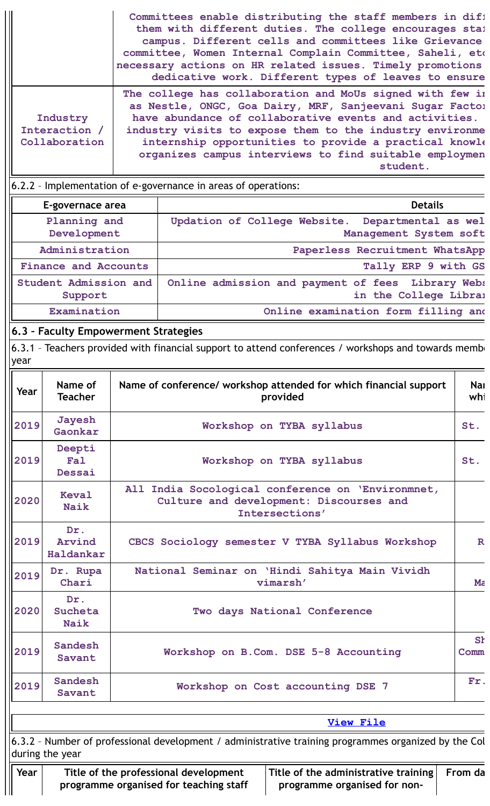|      |                                            |                                                                                 | Committees enable distributing the staff members in difi<br>them with different duties. The college encourages sta!<br>campus. Different cells and committees like Grievance<br>committee, Women Internal Complain Committee, Saheli, etc<br>necessary actions on HR related issues. Timely promotions<br>dedicative work. Different types of leaves to ensure              |                              |
|------|--------------------------------------------|---------------------------------------------------------------------------------|-----------------------------------------------------------------------------------------------------------------------------------------------------------------------------------------------------------------------------------------------------------------------------------------------------------------------------------------------------------------------------|------------------------------|
|      | Industry<br>Interaction /<br>Collaboration |                                                                                 | The college has collaboration and MoUs signed with few in<br>as Nestle, ONGC, Goa Dairy, MRF, Sanjeevani Sugar Factor<br>have abundance of collaborative events and activities.<br>industry visits to expose them to the industry environme<br>internship opportunities to provide a practical knowle<br>organizes campus interviews to find suitable employmen<br>student. |                              |
|      |                                            | 6.2.2 - Implementation of e-governance in areas of operations:                  |                                                                                                                                                                                                                                                                                                                                                                             |                              |
|      | E-governace area                           |                                                                                 | <b>Details</b>                                                                                                                                                                                                                                                                                                                                                              |                              |
|      | Planning and<br>Development                | Updation of College Website.                                                    | Departmental as wel<br>Management System soft                                                                                                                                                                                                                                                                                                                               |                              |
|      | Administration                             |                                                                                 | Paperless Recruitment WhatsApp                                                                                                                                                                                                                                                                                                                                              |                              |
|      | <b>Finance and Accounts</b>                |                                                                                 | Tally ERP 9 with GS                                                                                                                                                                                                                                                                                                                                                         |                              |
|      | Student Admission and<br>Support           |                                                                                 | Online admission and payment of fees Library Webs<br>in the College Libral                                                                                                                                                                                                                                                                                                  |                              |
|      | Examination                                |                                                                                 | Online examination form filling and                                                                                                                                                                                                                                                                                                                                         |                              |
|      | 6.3 - Faculty Empowerment Strategies       |                                                                                 |                                                                                                                                                                                                                                                                                                                                                                             |                              |
| year |                                            |                                                                                 | 6.3.1 - Teachers provided with financial support to attend conferences / workshops and towards membe                                                                                                                                                                                                                                                                        |                              |
| Year | Name of<br><b>Teacher</b>                  |                                                                                 | Name of conference/ workshop attended for which financial support<br>provided                                                                                                                                                                                                                                                                                               | <b>Nai</b><br>whi            |
| 2019 | Jayesh<br>Gaonkar                          |                                                                                 | Workshop on TYBA syllabus                                                                                                                                                                                                                                                                                                                                                   | St.                          |
| 2019 | Deepti<br><b>Fal</b><br>Dessai             |                                                                                 | Workshop on TYBA syllabus                                                                                                                                                                                                                                                                                                                                                   | St.                          |
| 2020 | <b>Keval</b><br><b>Naik</b>                |                                                                                 | All India Socological conference on 'Environmnet,<br>Culture and development: Discourses and<br>Intersections'                                                                                                                                                                                                                                                              |                              |
| 2019 | Dr.<br>Arvind<br>Haldankar                 |                                                                                 | CBCS Sociology semester V TYBA Syllabus Workshop                                                                                                                                                                                                                                                                                                                            | $\mathbf R$                  |
| 2019 | Dr. Rupa<br>Chari                          |                                                                                 | National Seminar on 'Hindi Sahitya Main Vividh<br>vimarsh'                                                                                                                                                                                                                                                                                                                  | $M\tilde{c}$                 |
| 2020 | Dr.<br>Sucheta<br><b>Naik</b>              |                                                                                 | Two days National Conference                                                                                                                                                                                                                                                                                                                                                |                              |
| 2019 | Sandesh<br>Savant                          |                                                                                 | Workshop on B.Com. DSE 5-8 Accounting                                                                                                                                                                                                                                                                                                                                       | <b>S<sub>t</sub></b><br>Comm |
| 2019 | Sandesh<br>Savant                          |                                                                                 | Workshop on Cost accounting DSE 7                                                                                                                                                                                                                                                                                                                                           | Fr.                          |
|      |                                            |                                                                                 | <b>View File</b>                                                                                                                                                                                                                                                                                                                                                            |                              |
|      | during the year                            |                                                                                 | 6.3.2 - Number of professional development / administrative training programmes organized by the Col                                                                                                                                                                                                                                                                        |                              |
| Year |                                            | Title of the professional development<br>programme organised for teaching staff | Title of the administrative training<br>programme organised for non-                                                                                                                                                                                                                                                                                                        | From da                      |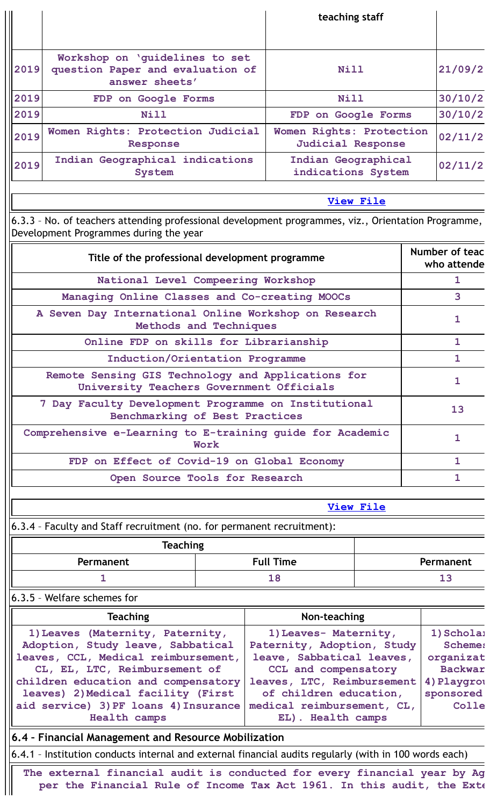|                                                                                                |                                                                                                                                                    |                            |  | teaching staff                                       |                  |                               |                             |
|------------------------------------------------------------------------------------------------|----------------------------------------------------------------------------------------------------------------------------------------------------|----------------------------|--|------------------------------------------------------|------------------|-------------------------------|-----------------------------|
|                                                                                                |                                                                                                                                                    |                            |  |                                                      |                  |                               |                             |
| 2019                                                                                           | Workshop on 'guidelines to set<br>question Paper and evaluation of<br>answer sheets'                                                               |                            |  | Nill<br>Nill                                         |                  |                               | 21/09/2                     |
| 2019                                                                                           | FDP on Google Forms                                                                                                                                |                            |  |                                                      |                  |                               | 30/10/2                     |
| 2019                                                                                           | Nill                                                                                                                                               |                            |  | FDP on Google Forms                                  |                  |                               | 30/10/2                     |
| 2019                                                                                           | Women Rights: Protection Judicial<br>Response                                                                                                      |                            |  | Women Rights: Protection<br><b>Judicial Response</b> |                  |                               | 02/11/2                     |
| 2019                                                                                           | Indian Geographical indications<br>System                                                                                                          |                            |  | Indian Geographical<br>indications System            |                  |                               | 02/11/2                     |
|                                                                                                |                                                                                                                                                    |                            |  |                                                      | <b>View File</b> |                               |                             |
|                                                                                                | 6.3.3 - No. of teachers attending professional development programmes, viz., Orientation Programme,<br>Development Programmes during the year      |                            |  |                                                      |                  |                               |                             |
|                                                                                                | Title of the professional development programme                                                                                                    |                            |  |                                                      |                  | Number of teac<br>who attende |                             |
|                                                                                                | National Level Compeering Workshop                                                                                                                 |                            |  |                                                      |                  | 1.                            |                             |
|                                                                                                | Managing Online Classes and Co-creating MOOCs                                                                                                      |                            |  |                                                      |                  |                               | 3                           |
| A Seven Day International Online Workshop on Research<br>Methods and Techniques                |                                                                                                                                                    |                            |  |                                                      |                  | 1                             |                             |
|                                                                                                | Online FDP on skills for Librarianship                                                                                                             |                            |  |                                                      |                  | $\mathbf{1}$                  |                             |
|                                                                                                | Induction/Orientation Programme                                                                                                                    |                            |  |                                                      |                  | $\mathbf{1}$                  |                             |
| Remote Sensing GIS Technology and Applications for<br>University Teachers Government Officials |                                                                                                                                                    |                            |  |                                                      |                  | $\mathbf{1}$                  |                             |
| 7 Day Faculty Development Programme on Institutional<br>Benchmarking of Best Practices         |                                                                                                                                                    |                            |  |                                                      | 13               |                               |                             |
| Comprehensive e-Learning to E-training guide for Academic<br>Work                              |                                                                                                                                                    |                            |  |                                                      | $\mathbf{1}$     |                               |                             |
| FDP on Effect of Covid-19 on Global Economy                                                    |                                                                                                                                                    |                            |  |                                                      | $\mathbf{1}$     |                               |                             |
|                                                                                                | Open Source Tools for Research                                                                                                                     |                            |  |                                                      |                  |                               | $\mathbf{1}$                |
|                                                                                                |                                                                                                                                                    |                            |  |                                                      | <b>View File</b> |                               |                             |
|                                                                                                | 6.3.4 - Faculty and Staff recruitment (no. for permanent recruitment):                                                                             |                            |  |                                                      |                  |                               |                             |
|                                                                                                | <b>Teaching</b>                                                                                                                                    |                            |  |                                                      |                  |                               |                             |
|                                                                                                | Permanent                                                                                                                                          |                            |  | <b>Full Time</b>                                     |                  | Permanent                     |                             |
|                                                                                                | 1                                                                                                                                                  |                            |  | 18                                                   |                  |                               | 13                          |
|                                                                                                | 6.3.5 - Welfare schemes for                                                                                                                        |                            |  |                                                      |                  |                               |                             |
|                                                                                                | <b>Teaching</b>                                                                                                                                    |                            |  | Non-teaching                                         |                  |                               |                             |
|                                                                                                | 1) Leaves (Maternity, Paternity,                                                                                                                   |                            |  | 1) Leaves- Maternity,                                |                  |                               | 1) Scholai                  |
| Adoption, Study leave, Sabbatical                                                              |                                                                                                                                                    |                            |  | Paternity, Adoption, Study                           |                  |                               | <b>Scheme:</b>              |
| leaves, CCL, Medical reimbursement,<br>CL, EL, LTC, Reimbursement of                           |                                                                                                                                                    |                            |  | leave, Sabbatical leaves,<br>CCL and compensatory    |                  |                               | organizat<br><b>Backwar</b> |
|                                                                                                | children education and compensatory                                                                                                                | leaves, LTC, Reimbursement |  |                                                      | 4) Playgrou      |                               |                             |
|                                                                                                | leaves) 2) Medical facility (First                                                                                                                 | of children education,     |  |                                                      | sponsored        |                               |                             |
|                                                                                                | aid service) 3) PF loans 4) Insurance                                                                                                              | medical reimbursement, CL, |  |                                                      | Colle            |                               |                             |
|                                                                                                | Health camps                                                                                                                                       |                            |  | EL). Health camps                                    |                  |                               |                             |
|                                                                                                | 6.4 - Financial Management and Resource Mobilization                                                                                               |                            |  |                                                      |                  |                               |                             |
|                                                                                                | 6.4.1 - Institution conducts internal and external financial audits regularly (with in 100 words each)                                             |                            |  |                                                      |                  |                               |                             |
|                                                                                                | The external financial audit is conducted for every financial year by Ag<br>per the Financial Rule of Income Tax Act 1961. In this audit, the Exte |                            |  |                                                      |                  |                               |                             |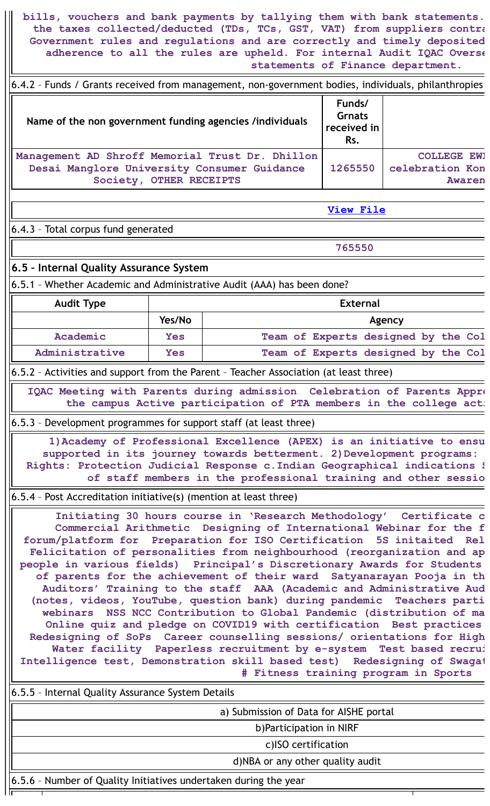**bills, vouchers and bank payments by tallying them with bank statements. the taxes collected/deducted (TDs, TCs, GST, VAT) from suppliers contra Government rules and regulations and are correctly and timely deposited adherence to all the rules are upheld. For internal Audit IQAC Overse statements of Finance department.**

6.4.2 – Funds / Grants received from management, non-government bodies, individuals, philanthropies

| Name of the non government funding agencies /individuals                                                                  | Funds/<br><b>Grnats</b><br>received in<br>Rs. |                                                 |
|---------------------------------------------------------------------------------------------------------------------------|-----------------------------------------------|-------------------------------------------------|
| Management AD Shroff Memorial Trust Dr. Dhillon<br>Desai Manglore University Consumer Guidance<br>Society, OTHER RECEIPTS | 1265550                                       | <b>COLLEGE EWI</b><br>celebration Kon<br>Awaren |

**View [File](https://assessmentonline.naac.gov.in/public/Postacc/Funds_or_Grants/8958_Funds_or_Grants_1640583857.xlsx)**

6.4.3 – Total corpus fund generated

**765550**

**6.5 – Internal Quality Assurance System**

6.5.1 – Whether Academic and Administrative Audit (AAA) has been done?

| <b>Audit Type</b> |            | <b>External</b>                     |
|-------------------|------------|-------------------------------------|
|                   | Yes/No     | Agency                              |
| Academic          | <b>Yes</b> | Team of Experts designed by the Col |
| Administrative    | Yes        | Team of Experts designed by the Col |

6.5.2 – Activities and support from the Parent – Teacher Association (at least three)

**IQAC Meeting with Parents during admission Celebration of Parents Appre the campus Active participation of PTA members in the college acti**

6.5.3 – Development programmes for support staff (at least three)

**1)Academy of Professional Excellence (APEX) is an initiative to ensu supported in its journey towards betterment. 2)Development programs: Rights: Protection Judicial Response c.Indian Geographical indications S of staff members in the professional training and other sessio**

6.5.4 – Post Accreditation initiative(s) (mention at least three)

**Initiating 30 hours course in 'Research Methodology' Certificate c Commercial Arithmetic Designing of International Webinar for the f forum/platform for Preparation for ISO Certification 5S initaited Rel Felicitation of personalities from neighbourhood (reorganization and ap people in various fields) Principal's Discretionary Awards for Students of parents for the achievement of their ward Satyanarayan Pooja in th Auditors' Training to the staff AAA (Academic and Administrative Aud (notes, videos, YouTube, question bank) during pandemic Teachers parti webinars NSS NCC Contribution to Global Pandemic (distribution of ma Online quiz and pledge on COVID19 with certification Best practices Redesigning of SoPs Career counselling sessions/ orientations for High Water facility Paperless recruitment by e-system Test based recrui Intelligence test, Demonstration skill based test) Redesigning of Swagat # Fitness training program in Sports**

6.5.5 – Internal Quality Assurance System Details

a) Submission of Data for AISHE portal

b)Participation in NIRF

c)ISO certification

d)NBA or any other quality audit

6.5.6 – Number of Quality Initiatives undertaken during the year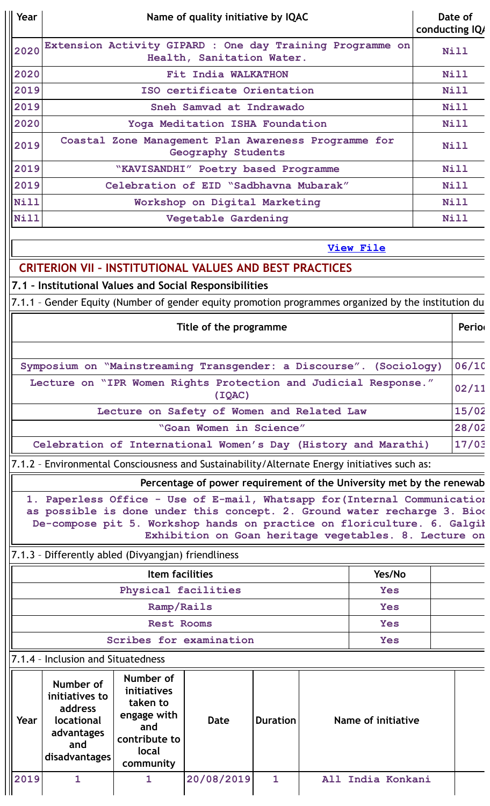| Year                                                                                                                             | Name of quality initiative by IQAC                                                         |                                                                                                     |                                                                      |                 |                           |                  | Date of<br>conducting IQ/ |             |
|----------------------------------------------------------------------------------------------------------------------------------|--------------------------------------------------------------------------------------------|-----------------------------------------------------------------------------------------------------|----------------------------------------------------------------------|-----------------|---------------------------|------------------|---------------------------|-------------|
| 2020                                                                                                                             | Extension Activity GIPARD : One day Training Programme on<br>Health, Sanitation Water.     |                                                                                                     |                                                                      |                 |                           |                  | Nill                      |             |
| 2020                                                                                                                             | Fit India WALKATHON                                                                        |                                                                                                     |                                                                      |                 |                           |                  |                           | Nill        |
| 2019                                                                                                                             |                                                                                            |                                                                                                     | ISO certificate Orientation                                          |                 |                           |                  |                           | Nill        |
| 2019                                                                                                                             |                                                                                            |                                                                                                     | Sneh Samvad at Indrawado                                             |                 |                           |                  |                           | Nill        |
| 2020                                                                                                                             |                                                                                            |                                                                                                     | Yoga Meditation ISHA Foundation                                      |                 |                           |                  |                           | Nill        |
| 2019                                                                                                                             |                                                                                            | Coastal Zone Management Plan Awareness Programme for                                                | Geography Students                                                   |                 |                           |                  |                           | <b>Nill</b> |
| 2019                                                                                                                             |                                                                                            | "KAVISANDHI" Poetry based Programme                                                                 |                                                                      |                 |                           |                  |                           | Nill        |
| 2019                                                                                                                             |                                                                                            | Celebration of EID "Sadbhavna Mubarak"                                                              |                                                                      |                 |                           |                  |                           | Nill        |
| Nill                                                                                                                             |                                                                                            |                                                                                                     | Workshop on Digital Marketing                                        |                 |                           |                  |                           | Nill        |
| Nill                                                                                                                             |                                                                                            |                                                                                                     | Vegetable Gardening                                                  |                 |                           |                  |                           | Nill        |
|                                                                                                                                  |                                                                                            |                                                                                                     |                                                                      |                 |                           | <b>View File</b> |                           |             |
|                                                                                                                                  |                                                                                            | <b>CRITERION VII - INSTITUTIONAL VALUES AND BEST PRACTICES</b>                                      |                                                                      |                 |                           |                  |                           |             |
|                                                                                                                                  |                                                                                            | 7.1 - Institutional Values and Social Responsibilities                                              |                                                                      |                 |                           |                  |                           |             |
|                                                                                                                                  |                                                                                            | 7.1.1 - Gender Equity (Number of gender equity promotion programmes organized by the institution du |                                                                      |                 |                           |                  |                           |             |
|                                                                                                                                  | Title of the programme                                                                     |                                                                                                     |                                                                      |                 |                           |                  | Perior                    |             |
|                                                                                                                                  |                                                                                            |                                                                                                     |                                                                      |                 |                           |                  |                           |             |
|                                                                                                                                  |                                                                                            | Symposium on "Mainstreaming Transgender: a Discourse". (Sociology)                                  |                                                                      |                 |                           |                  |                           | 06/10       |
| Lecture on "IPR Women Rights Protection and Judicial Response."<br>(IOAC)                                                        |                                                                                            |                                                                                                     |                                                                      |                 |                           |                  | 02/11                     |             |
| Lecture on Safety of Women and Related Law                                                                                       |                                                                                            |                                                                                                     |                                                                      |                 |                           |                  |                           | 15/02       |
| "Goan Women in Science"                                                                                                          |                                                                                            |                                                                                                     |                                                                      |                 |                           |                  | 28/02                     |             |
| Celebration of International Women's Day (History and Marathi)                                                                   |                                                                                            |                                                                                                     |                                                                      |                 |                           |                  | 17/03                     |             |
| 7.1.2 - Environmental Consciousness and Sustainability/Alternate Energy initiatives such as:                                     |                                                                                            |                                                                                                     |                                                                      |                 |                           |                  |                           |             |
|                                                                                                                                  |                                                                                            |                                                                                                     | Percentage of power requirement of the University met by the renewab |                 |                           |                  |                           |             |
|                                                                                                                                  |                                                                                            | 1. Paperless Office - Use of E-mail, Whatsapp for (Internal Communication                           |                                                                      |                 |                           |                  |                           |             |
|                                                                                                                                  |                                                                                            | as possible is done under this concept. 2. Ground water recharge 3. Biod                            |                                                                      |                 |                           |                  |                           |             |
| De-compose pit 5. Workshop hands on practice on floriculture. 6. Galgił<br>Exhibition on Goan heritage vegetables. 8. Lecture on |                                                                                            |                                                                                                     |                                                                      |                 |                           |                  |                           |             |
|                                                                                                                                  |                                                                                            |                                                                                                     |                                                                      |                 |                           |                  |                           |             |
| 7.1.3 - Differently abled (Divyangjan) friendliness                                                                              |                                                                                            |                                                                                                     |                                                                      |                 |                           |                  |                           |             |
| <b>Item facilities</b><br>Yes/No<br>Physical facilities<br><b>Yes</b>                                                            |                                                                                            |                                                                                                     |                                                                      |                 |                           |                  |                           |             |
| Ramp/Rails<br>Yes                                                                                                                |                                                                                            |                                                                                                     |                                                                      |                 |                           |                  |                           |             |
| <b>Rest Rooms</b><br><b>Yes</b>                                                                                                  |                                                                                            |                                                                                                     |                                                                      |                 |                           |                  |                           |             |
| Scribes for examination<br><b>Yes</b>                                                                                            |                                                                                            |                                                                                                     |                                                                      |                 |                           |                  |                           |             |
| 7.1.4 - Inclusion and Situatedness                                                                                               |                                                                                            |                                                                                                     |                                                                      |                 |                           |                  |                           |             |
| Year                                                                                                                             | Number of<br>initiatives to<br>address<br>locational<br>advantages<br>and<br>disadvantages | Number of<br>initiatives<br>taken to<br>engage with<br>and<br>contribute to<br>local<br>community   | Date                                                                 | <b>Duration</b> | <b>Name of initiative</b> |                  |                           |             |
| 2019                                                                                                                             | 1                                                                                          | 1                                                                                                   | 20/08/2019                                                           | $\mathbf{1}$    | All India Konkani         |                  |                           |             |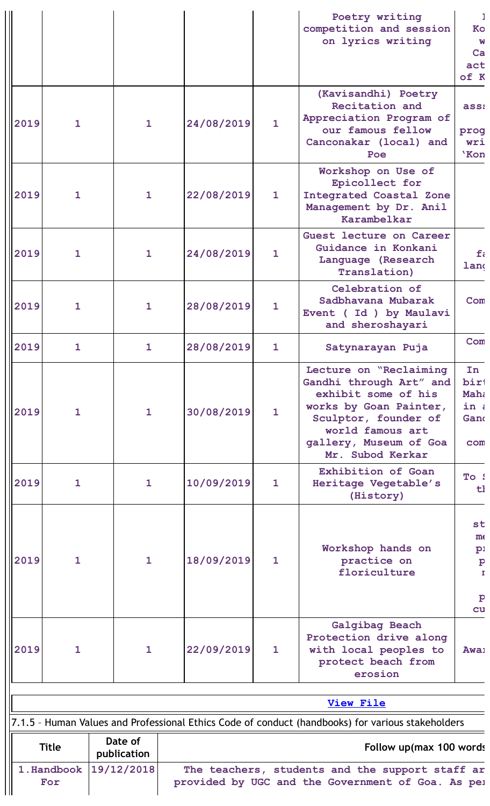|      |                                                                                                                                          |                        |            |              | Poetry writing<br>competition and session<br>on lyrics writing                                                                                                                               | Ko<br>W<br>$ca$<br>act<br>of K                                      |
|------|------------------------------------------------------------------------------------------------------------------------------------------|------------------------|------------|--------------|----------------------------------------------------------------------------------------------------------------------------------------------------------------------------------------------|---------------------------------------------------------------------|
| 2019 | $\mathbf{1}$                                                                                                                             | $\mathbf{1}$           | 24/08/2019 | $\mathbf{1}$ | (Kavisandhi) Poetry<br>Recitation and<br>Appreciation Program of<br>our famous fellow<br>Canconakar (local) and<br>Poe                                                                       | ass:<br>prog<br>wri<br>'Kon                                         |
| 2019 | $\mathbf{1}$                                                                                                                             | $\mathbf{1}$           | 22/08/2019 | $\mathbf{1}$ | Workshop on Use of<br>Epicollect for<br>Integrated Coastal Zone<br>Management by Dr. Anil<br>Karambelkar                                                                                     |                                                                     |
| 2019 | $\mathbf{1}$                                                                                                                             | $\mathbf{1}$           | 24/08/2019 | $\mathbf{1}$ | Guest lecture on Career<br>Guidance in Konkani<br>Language (Research<br><b>Translation</b> )                                                                                                 | $f_i$<br>land                                                       |
| 2019 | $\mathbf{1}$                                                                                                                             | $\mathbf{1}$           | 28/08/2019 | $\mathbf{1}$ | Celebration of<br>Sadbhavana Mubarak<br>Event (Id) by Maulavi<br>and sheroshayari                                                                                                            | Com                                                                 |
| 2019 | $\mathbf{1}$                                                                                                                             | $\mathbf{1}$           | 28/08/2019 | $\mathbf{1}$ | Satynarayan Puja                                                                                                                                                                             | Com                                                                 |
| 2019 | $\mathbf{1}$                                                                                                                             | $\mathbf{1}$           | 30/08/2019 | $\mathbf{1}$ | Lecture on "Reclaiming<br>Gandhi through Art" and<br>exhibit some of his<br>works by Goan Painter,<br>Sculptor, founder of<br>world famous art<br>gallery, Museum of Goa<br>Mr. Subod Kerkar | In<br>birt<br>Maha<br>in a<br>Gand<br>com                           |
| 2019 | 1                                                                                                                                        | $\mathbf{1}$           | 10/09/2019 | $\mathbf{1}$ | Exhibition of Goan<br>Heritage Vegetable's<br>(History)                                                                                                                                      | To !<br>t                                                           |
| 2019 | $\mathbf{1}$                                                                                                                             | $\mathbf{1}$           | 18/09/2019 | $\mathbf{1}$ | Workshop hands on<br>practice on<br>floriculture                                                                                                                                             | st<br>m <sub>f</sub><br>$p_1$<br>$\mathbf{p}$<br>τ.<br>$\mathbf{p}$ |
| 2019 | $\mathbf{1}$                                                                                                                             | $\mathbf{1}$           | 22/09/2019 | $\mathbf{1}$ | Galgibag Beach<br>Protection drive along<br>with local peoples to<br>protect beach from<br>erosion                                                                                           | cu<br>Awa <sub>1</sub>                                              |
|      |                                                                                                                                          |                        |            |              | <b>View File</b>                                                                                                                                                                             |                                                                     |
|      |                                                                                                                                          |                        |            |              | 7.1.5 - Human Values and Professional Ethics Code of conduct (handbooks) for various stakeholders                                                                                            |                                                                     |
|      | <b>Title</b>                                                                                                                             | Date of<br>publication |            |              | Follow up(max 100 words)                                                                                                                                                                     |                                                                     |
|      | 19/12/2018<br>1. Handbook<br>The teachers, students and the support staff ar<br>provided by UGC and the Government of Goa. As pel<br>For |                        |            |              |                                                                                                                                                                                              |                                                                     |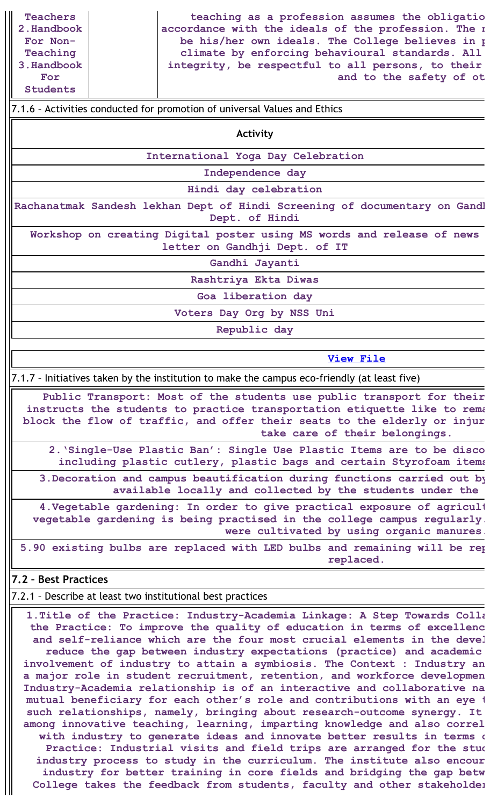**teaching as a profession assumes the obligatio accordance with the ideals of the profession. The n be his/her own ideals. The College believes in p climate by enforcing behavioural standards. All integrity, be respectful to all persons, to their and to the safety of ot**

### 7.1.6 – Activities conducted for promotion of universal Values and Ethics

**Activity**

**International Yoga Day Celebration**

**Independence day**

**Hindi day celebration**

**Rachanatmak Sandesh lekhan Dept of Hindi Screening of documentary on Gandh Dept. of Hindi**

**Workshop on creating Digital poster using MS words and release of news letter on Gandhji Dept. of IT**

**Gandhi Jayanti**

**Rashtriya Ekta Diwas**

**Goa liberation day**

**Voters Day Org by NSS Uni**

**Republic day**

### **View [File](https://assessmentonline.naac.gov.in/public/Postacc/promotion_activities/8958_promotion_activities_1639527774.xlsx)**

7.1.7 – Initiatives taken by the institution to make the campus eco-friendly (at least five)

**Public Transport: Most of the students use public transport for their instructs the students to practice transportation etiquette like to rema block the flow of traffic, and offer their seats to the elderly or injur take care of their belongings.**

**2.'Single-Use Plastic Ban': Single Use Plastic Items are to be disco including plastic cutlery, plastic bags and certain Styrofoam items**

**3.Decoration and campus beautification during functions carried out by available locally and collected by the students under the**

**4.Vegetable gardening: In order to give practical exposure of agricult vegetable gardening is being practised in the college campus regularly. were cultivated by using organic manures.**

**5.90 existing bulbs are replaced with LED bulbs and remaining will be rep replaced.**

### **7.2 – Best Practices**

7.2.1 – Describe at least two institutional best practices

**1.Title of the Practice: Industry-Academia Linkage: A Step Towards Colla the Practice: To improve the quality of education in terms of excellenc and self-reliance which are the four most crucial elements in the devel reduce the gap between industry expectations (practice) and academic involvement of industry to attain a symbiosis. The Context : Industry an a major role in student recruitment, retention, and workforce developmen Industry-Academia relationship is of an interactive and collaborative na mutual beneficiary for each other's role and contributions with an eye t such relationships, namely, bringing about research-outcome synergy. It among innovative teaching, learning, imparting knowledge and also correl with industry to generate ideas and innovate better results in terms o Practice: Industrial visits and field trips are arranged for the stud industry process to study in the curriculum. The institute also encour industry for better training in core fields and bridging the gap betw College takes the feedback from students, faculty and other stakeholder**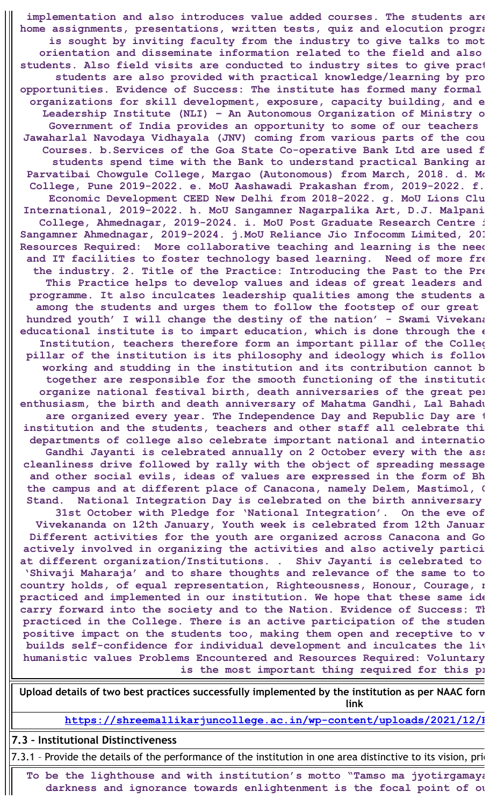**implementation and also introduces value added courses. The students are home assignments, presentations, written tests, quiz and elocution progra is sought by inviting faculty from the industry to give talks to mot orientation and disseminate information related to the field and also students. Also field visits are conducted to industry sites to give pract students are also provided with practical knowledge/learning by pro opportunities. Evidence of Success: The institute has formed many formal organizations for skill development, exposure, capacity building, and e Leadership Institute (NLI) – An Autonomous Organization of Ministry o Government of India provides an opportunity to some of our teachers Jawaharlal Navodaya Vidhayala (JNV) coming from various parts of the cou Courses. b.Services of the Goa State Co-operative Bank Ltd are used f students spend time with the Bank to understand practical Banking an Parvatibai Chowgule College, Margao (Autonomous) from March, 2018. d. Mo College, Pune 2019-2022. e. MoU Aashawadi Prakashan from, 2019-2022. f. Economic Development CEED New Delhi from 2018-2022. g. MoU Lions Clu International, 2019-2022. h. MoU Sangamner Nagarpalika Art, D.J. Malpani College, Ahmednagar, 2019-2024. i. MoU Post Graduate Research Centre i Sangamner Ahmednagar, 2019-2024. j.MoU Reliance Jio Infocomm Limited, 201 Resources Required: More collaborative teaching and learning is the need and IT facilities to foster technology based learning. Need of more fre the industry. 2. Title of the Practice: Introducing the Past to the Pre This Practice helps to develop values and ideas of great leaders and programme. It also inculcates leadership qualities among the students a among the students and urges them to follow the footstep of our great hundred youth' I will change the destiny of the nation' - Swami Vivekana educational institute is to impart education, which is done through the e Institution, teachers therefore form an important pillar of the Colleg pillar of the institution is its philosophy and ideology which is follow working and studding in the institution and its contribution cannot b together are responsible for the smooth functioning of the institutio organize national festival birth, death anniversaries of the great per enthusiasm, the birth and death anniversary of Mahatma Gandhi, Lal Bahadu are organized every year. The Independence Day and Republic Day are t institution and the students, teachers and other staff all celebrate thi departments of college also celebrate important national and internatio Gandhi Jayanti is celebrated annually on 2 October every with the ass cleanliness drive followed by rally with the object of spreading message and other social evils, ideas of values are expressed in the form of Bh the campus and at different place of Canacona, namely Delem, Mastimol, C Stand. National Integration Day is celebrated on the birth anniversary 31st October with Pledge for 'National Integration'. On the eve of Vivekananda on 12th January, Youth week is celebrated from 12th Januar Different activities for the youth are organized across Canacona and Go actively involved in organizing the activities and also actively partici at different organization/Institutions. . Shiv Jayanti is celebrated to 'Shivaji Maharaja' and to share thoughts and relevance of the same to to country holds, of equal representation, Righteousness, Honour, Courage, n practiced and implemented in our institution. We hope that these same ide carry forward into the society and to the Nation. Evidence of Success: Th practiced in the College. There is an active participation of the studen positive impact on the students too, making them open and receptive to v builds self-confidence for individual development and inculcates the liv humanistic values Problems Encountered and Resources Required: Voluntary is the most important thing required for this pr**

**Upload details of two best practices successfully implemented by the institution as per NAAC form link**

**[https://shreemallikarjuncollege.ac.in/wp-content/uploads/2021/12/B](https://shreemallikarjuncollege.ac.in/wp-content/uploads/2021/12/Best-Practices-2019-20.pdf)**

### **7.3 – Institutional Distinctiveness**

7.3.1 - Provide the details of the performance of the institution in one area distinctive to its vision, prio

**To be the lighthouse and with institution's motto "Tamso ma jyotirgamaya darkness and ignorance towards enlightenment is the focal point of ou**